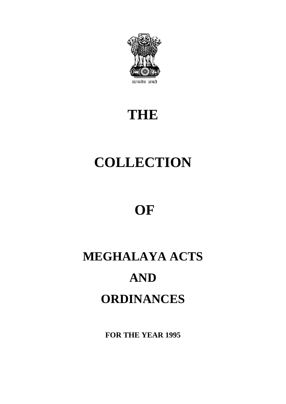

# **THE**

# **COLLECTION**

# **OF**

# **MEGHALAYA ACTS AND ORDINANCES**

**FOR THE YEAR 1995**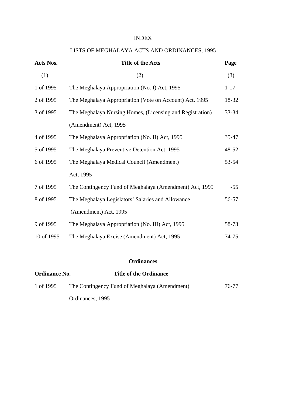#### INDEX

# LISTS OF MEGHALAYA ACTS AND ORDINANCES, 1995

| Acts Nos.  | <b>Title of the Acts</b>                                  | Page      |
|------------|-----------------------------------------------------------|-----------|
| (1)        | (2)                                                       | (3)       |
| 1 of 1995  | The Meghalaya Appropriation (No. I) Act, 1995             | $1 - 17$  |
| 2 of 1995  | The Meghalaya Appropriation (Vote on Account) Act, 1995   | 18-32     |
| 3 of 1995  | The Meghalaya Nursing Homes, (Licensing and Registration) | $33 - 34$ |
|            | (Amendment) Act, 1995                                     |           |
| 4 of 1995  | The Meghalaya Appropriation (No. II) Act, 1995            | $35 - 47$ |
| 5 of 1995  | The Meghalaya Preventive Detention Act, 1995              | 48-52     |
| 6 of 1995  | The Meghalaya Medical Council (Amendment)                 | 53-54     |
|            | Act, 1995                                                 |           |
| 7 of 1995  | The Contingency Fund of Meghalaya (Amendment) Act, 1995   | $-55$     |
| 8 of 1995  | The Meghalaya Legislators' Salaries and Allowance         | 56-57     |
|            | (Amendment) Act, 1995                                     |           |
| 9 of 1995  | The Meghalaya Appropriation (No. III) Act, 1995           | 58-73     |
| 10 of 1995 | The Meghalaya Excise (Amendment) Act, 1995                | 74-75     |

### **Ordinances**

| <b>Ordinance No.</b> | <b>Title of the Ordinance</b>                 |       |
|----------------------|-----------------------------------------------|-------|
| 1 of 1995            | The Contingency Fund of Meghalaya (Amendment) | 76-77 |
|                      | Ordinances, 1995                              |       |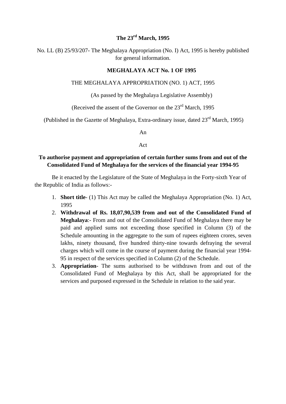### **The 23rd March, 1995**

No. LL (B) 25/93/207- The Meghalaya Appropriation (No. I) Act, 1995 is hereby published for general information.

#### **MEGHALAYA ACT No. 1 OF 1995**

#### THE MEGHALAYA APPROPRIATION (NO. 1) ACT, 1995

(As passed by the Meghalaya Legislative Assembly)

(Received the assent of the Governor on the 23<sup>rd</sup> March, 1995)

(Published in the Gazette of Meghalaya, Extra-ordinary issue, dated  $23<sup>rd</sup>$  March, 1995)

An

Act

#### **To authorise payment and appropriation of certain further sums from and out of the Consolidated Fund of Meghalaya for the services of the financial year 1994-95**

Be it enacted by the Legislature of the State of Meghalaya in the Forty-sixth Year of the Republic of India as follows:-

- 1. **Short title** (1) This Act may be called the Meghalaya Appropriation (No. 1) Act, 1995
- 2. **Withdrawal of Rs. 18,07,90,539 from and out of the Consolidated Fund of Meghalaya**:- From and out of the Consolidated Fund of Meghalaya there may be paid and applied sums not exceeding those specified in Column (3) of the Schedule amounting in the aggregate to the sum of rupees eighteen crores, seven lakhs, ninety thousand, five hundred thirty-nine towards defraying the several charges which will come in the course of payment during the financial year 1994- 95 in respect of the services specified in Column (2) of the Schedule.
- 3. **Appropriation** The sums authorised to be withdrawn from and out of the Consolidated Fund of Meghalaya by this Act, shall be appropriated for the services and purposed expressed in the Schedule in relation to the said year.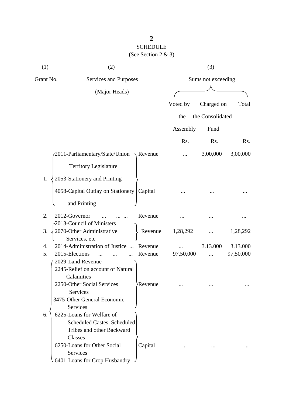# SCHEDULE (See Section 2 & 3)

| (1)       | (2)                                          |                |           | (3)                |           |
|-----------|----------------------------------------------|----------------|-----------|--------------------|-----------|
| Grant No. | Services and Purposes                        |                |           | Sums not exceeding |           |
|           | (Major Heads)                                |                |           |                    |           |
|           |                                              |                | Voted by  | Charged on         | Total     |
|           |                                              |                |           |                    |           |
|           |                                              |                | the       | the Consolidated   |           |
|           |                                              |                | Assembly  | Fund               |           |
|           |                                              |                | Rs.       | Rs.                | Rs.       |
|           | 2011-Parliamentary/State/Union               | Revenue        |           | 3,00,000           | 3,00,000  |
|           | <b>Territory Legislature</b>                 |                |           |                    |           |
| 1.        | 2053-Stationery and Printing                 |                |           |                    |           |
|           | 4058-Capital Outlay on Stationery            | Capital        |           |                    |           |
|           | and Printing                                 |                |           |                    |           |
| 2.        | 2012-Governor                                | Revenue        |           |                    |           |
| 3.        | -2013-Council of Ministers                   |                | 1,28,292  |                    |           |
|           | 2070-Other Administrative<br>Services, etc   | Revenue        |           |                    | 1,28,292  |
| 4.        | 2014-Administration of Justice<br>$\dddotsc$ | Revenue        |           | 3.13.000           | 3.13.000  |
| 5.        | 2015-Elections                               | Revenue        | 97,50,000 |                    | 97,50,000 |
|           | 2029-Land Revenue                            |                |           |                    |           |
|           | 2245-Relief on account of Natural            |                |           |                    |           |
|           | Calamities                                   |                |           |                    |           |
|           | 2250-Other Social Services                   | <b>Revenue</b> |           |                    |           |
|           | <b>Services</b>                              |                |           |                    |           |
|           | 3475-Other General Economic                  |                |           |                    |           |
| 6.        | <b>Services</b><br>6225-Loans for Welfare of |                |           |                    |           |
|           | Scheduled Castes, Scheduled                  |                |           |                    |           |
|           | Tribes and other Backward                    |                |           |                    |           |
|           | <b>Classes</b>                               |                |           |                    |           |
|           | 6250-Loans for Other Social                  | Capital        |           |                    |           |
|           | Services                                     |                |           |                    |           |
|           | 6401-Loans for Crop Husbandry                |                |           |                    |           |
|           |                                              |                |           |                    |           |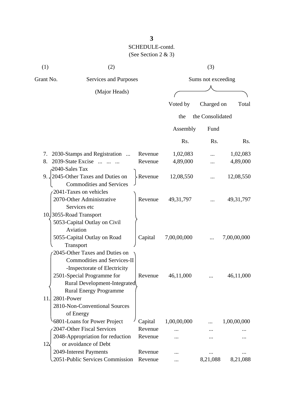| (1)               | (2)                                                                  |                |                    | (3)              |             |  |
|-------------------|----------------------------------------------------------------------|----------------|--------------------|------------------|-------------|--|
| Grant No.         | Services and Purposes                                                |                | Sums not exceeding |                  |             |  |
|                   | (Major Heads)                                                        |                |                    |                  |             |  |
|                   |                                                                      |                | Voted by           | Charged on       | Total       |  |
|                   |                                                                      |                | the                | the Consolidated |             |  |
|                   |                                                                      |                |                    |                  |             |  |
|                   |                                                                      |                | Assembly           | Fund             |             |  |
|                   |                                                                      |                | Rs.                | Rs.              | Rs.         |  |
| 7.                | 2030-Stamps and Registration<br>$\dddotsc$                           | Revenue        | 1,02,083           |                  | 1,02,083    |  |
| 8.                | 2039-State Excise                                                    | Revenue        | 4,89,000           | .                | 4,89,000    |  |
| 2040-Sales Tax    |                                                                      |                |                    |                  |             |  |
|                   | 9. 2045-Other Taxes and Duties on<br><b>Commodities and Services</b> | <b>Revenue</b> | 12,08,550          |                  | 12,08,550   |  |
|                   | 2041-Taxes on vehicles                                               |                |                    |                  |             |  |
|                   | 2070-Other Administrative                                            | Revenue        | 49, 31, 797        |                  | 49, 31, 797 |  |
|                   | Services etc                                                         |                |                    |                  |             |  |
|                   | 10.3055-Road Transport                                               |                |                    |                  |             |  |
|                   | 5053-Capital Outlay on Civil                                         |                |                    |                  |             |  |
|                   | Aviation                                                             |                |                    |                  |             |  |
|                   | 5055-Capital Outlay on Road                                          | Capital        | 7,00,00,000        |                  | 7,00,00,000 |  |
|                   | Transport                                                            |                |                    |                  |             |  |
|                   | 2045-Other Taxes and Duties on                                       |                |                    |                  |             |  |
|                   | <b>Commodities and Services-II</b>                                   |                |                    |                  |             |  |
|                   | -Inspectorate of Electricity                                         |                |                    |                  |             |  |
|                   | 2501-Special Programme for                                           | Revenue        | 46,11,000          |                  | 46,11,000   |  |
|                   | Rural Development-Integrated                                         |                |                    |                  |             |  |
|                   | <b>Rural Energy Programme</b>                                        |                |                    |                  |             |  |
| 2801-Power<br>11. |                                                                      |                |                    |                  |             |  |
|                   | 2810-Non-Conventional Sources                                        |                |                    |                  |             |  |
|                   | of Energy                                                            |                |                    |                  |             |  |
|                   | 6801-Loans for Power Project                                         | Capital        | 1,00,00,000        |                  | 1,00,00,000 |  |
|                   | 2047-Other Fiscal Services                                           | Revenue        |                    |                  |             |  |
|                   | 2048-Appropriation for reduction                                     | Revenue        |                    |                  |             |  |
| $12\epsilon$      | or avoidance of Debt                                                 |                |                    |                  |             |  |
|                   | 2049-Interest Payments<br>2051-Public Services Commission            | Revenue        |                    |                  |             |  |
|                   |                                                                      | Revenue        |                    | 8,21,088         | 8,21,088    |  |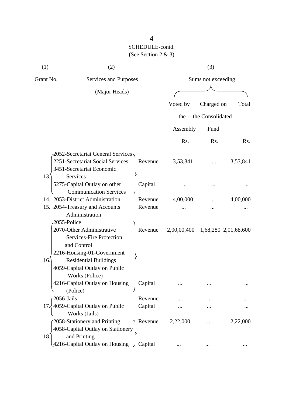| (1)       | (2)                                                                                                       |         |             | (3)                |                      |
|-----------|-----------------------------------------------------------------------------------------------------------|---------|-------------|--------------------|----------------------|
| Grant No. | Services and Purposes                                                                                     |         |             | Sums not exceeding |                      |
|           | (Major Heads)                                                                                             |         |             |                    |                      |
|           |                                                                                                           |         | Voted by    | Charged on         | Total                |
|           |                                                                                                           |         | the         | the Consolidated   |                      |
|           |                                                                                                           |         | Assembly    | Fund               |                      |
|           |                                                                                                           |         | Rs.         | Rs.                | R <sub>s</sub> .     |
|           | 2052-Secretariat General Services                                                                         |         |             |                    |                      |
|           | 2251-Secretariat Social Services<br>3451-Secretariat Economic                                             | Revenue | 3,53,841    |                    | 3,53,841             |
| 13.       | Services<br>5275-Capital Outlay on other<br><b>Communication Services</b>                                 | Capital |             |                    |                      |
|           | 14. 2053-District Administration                                                                          | Revenue | 4,00,000    |                    | 4,00,000             |
|           | 15. 2054-Treasury and Accounts<br>Administration                                                          | Revenue |             |                    |                      |
|           | 2055-Police                                                                                               |         |             |                    |                      |
|           | 2070-Other Administrative<br><b>Services-Fire Protection</b><br>and Control<br>2216-Housing-01-Government | Revenue | 2,00,00,400 |                    | 1,68,280 2,01,68,600 |
| 16.       | <b>Residential Buildings</b><br>4059-Capital Outlay on Public<br>Works (Police)                           |         |             |                    |                      |
|           | 4216-Capital Outlay on Housing<br>(Police)                                                                | Capital |             |                    |                      |
|           | $-2056$ -Jails                                                                                            | Revenue |             |                    |                      |
|           | 17, 4059-Capital Outlay on Public<br>Works (Jails)                                                        | Capital |             |                    |                      |
| 18.       | 2058-Stationery and Printing<br>4058-Capital Outlay on Stationery<br>and Printing                         | Revenue | 2,22,000    |                    | 2,22,000             |
|           | 4216-Capital Outlay on Housing                                                                            | Capital |             |                    |                      |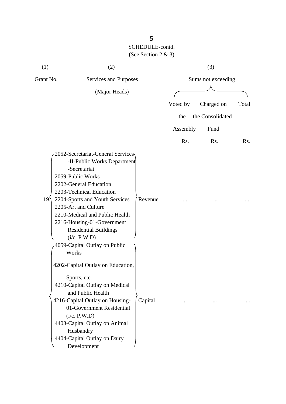| (1)             | (2)                                                                                                                                                                                                                                                                                                                                                                             |         |          | (3)                |       |
|-----------------|---------------------------------------------------------------------------------------------------------------------------------------------------------------------------------------------------------------------------------------------------------------------------------------------------------------------------------------------------------------------------------|---------|----------|--------------------|-------|
| Grant No.       | Services and Purposes                                                                                                                                                                                                                                                                                                                                                           |         |          | Sums not exceeding |       |
|                 | (Major Heads)                                                                                                                                                                                                                                                                                                                                                                   |         |          |                    |       |
|                 |                                                                                                                                                                                                                                                                                                                                                                                 |         | Voted by | Charged on         | Total |
|                 |                                                                                                                                                                                                                                                                                                                                                                                 |         | the      | the Consolidated   |       |
|                 |                                                                                                                                                                                                                                                                                                                                                                                 |         | Assembly | Fund               |       |
|                 |                                                                                                                                                                                                                                                                                                                                                                                 |         | Rs.      | Rs.                | Rs.   |
| 19 <sub>2</sub> | 2052-Secretariat-General Services<br>-II-Public Works Department<br>-Secretariat<br>2059-Public Works<br>2202-General Education<br>2203-Technical Education<br>2204-Sports and Youth Services<br>2205-Art and Culture<br>2210-Medical and Public Health<br>2216-Housing-01-Government<br><b>Residential Buildings</b><br>(i/c. P.W.D)<br>4059-Capital Outlay on Public<br>Works | Revenue |          |                    |       |
|                 | 4202-Capital Outlay on Education,<br>Sports, etc.<br>4210-Capital Outlay on Medical<br>and Public Health<br>4216-Capital Outlay on Housing-<br>01-Government Residential<br>(i/c. P.W.D)<br>4403-Capital Outlay on Animal<br>Husbandry<br>4404-Capital Outlay on Dairy<br>Development                                                                                           | Capital | $\cdots$ |                    |       |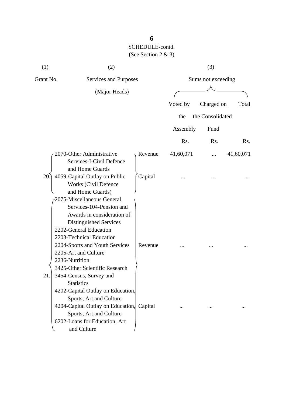| (1)       | (2)                                                                                                                                                                                                                                                                                                           |         |           | (3)                |           |
|-----------|---------------------------------------------------------------------------------------------------------------------------------------------------------------------------------------------------------------------------------------------------------------------------------------------------------------|---------|-----------|--------------------|-----------|
| Grant No. | Services and Purposes                                                                                                                                                                                                                                                                                         |         |           | Sums not exceeding |           |
|           | (Major Heads)                                                                                                                                                                                                                                                                                                 |         |           |                    |           |
|           |                                                                                                                                                                                                                                                                                                               |         | Voted by  | Charged on         | Total     |
|           |                                                                                                                                                                                                                                                                                                               |         | the       | the Consolidated   |           |
|           |                                                                                                                                                                                                                                                                                                               |         | Assembly  | Fund               |           |
|           |                                                                                                                                                                                                                                                                                                               |         | Rs.       | Rs.                | Rs.       |
|           | 2070-Other Administrative<br>Services-I-Civil Defence                                                                                                                                                                                                                                                         | Revenue | 41,60,071 |                    | 41,60,071 |
| 20.       | and Home Guards<br>4059-Capital Outlay on Public<br><b>Works (Civil Defence</b><br>and Home Guards)                                                                                                                                                                                                           | Capital |           |                    |           |
| 21.       | 2075-Miscellaneous General<br>Services-104-Pension and<br>Awards in consideration of<br>Distinguished Services<br>2202-General Education<br>2203-Technical Education<br>2204-Sports and Youth Services<br>2205-Art and Culture<br>2236-Nutrition<br>3425-Other Scientific Research<br>3454-Census, Survey and | Revenue |           |                    |           |
|           | <b>Statistics</b><br>4202-Capital Outlay on Education,<br>Sports, Art and Culture<br>4204-Capital Outlay on Education,<br>Sports, Art and Culture<br>6202-Loans for Education, Art<br>and Culture                                                                                                             | Capital |           |                    |           |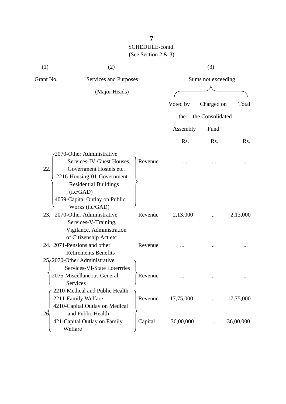| (1)       | (2)                                                                                                                                                          |         |           | (3)                |           |
|-----------|--------------------------------------------------------------------------------------------------------------------------------------------------------------|---------|-----------|--------------------|-----------|
| Grant No. | Services and Purposes                                                                                                                                        |         |           | Sums not exceeding |           |
|           | (Major Heads)                                                                                                                                                |         |           |                    |           |
|           |                                                                                                                                                              |         | Voted by  | Charged on         | Total     |
|           |                                                                                                                                                              |         | the       | the Consolidated   |           |
|           |                                                                                                                                                              |         | Assembly  | Fund               |           |
|           |                                                                                                                                                              |         | Rs.       | Rs.                | Rs.       |
| 22.       | 2070-Other Administrative<br>Services-IV-Guest Houses,<br>Government Hostels etc.<br>2216-Housing-01-Government<br><b>Residential Buildings</b><br>(i.c/GAD) | Revenue |           |                    |           |
| 23.       | 4059-Capital Outlay on Public<br>Works (i.c/GAD)<br>2070-Other Administrative<br>Services-V-Training,<br>Vigilance, Administration                           | Revenue | 2,13,000  |                    | 2,13,000  |
|           | of Citizenship Act etc<br>24. 2071-Pensions and other<br><b>Retirements Benefits</b><br>$25f$ 2070-Other Administrative                                      | Revenue |           |                    |           |
|           | Services-VI-State Loterrries<br>2075-Miscellaneous General<br>Services                                                                                       | Revenue |           |                    |           |
|           | 2210-Medical and Public Health<br>2211-Family Welfare<br>4210-Capital Outlay on Medical                                                                      | Revenue | 17,75,000 |                    | 17,75,000 |
| 26        | and Public Health<br>421-Capital Outlay on Family<br>Welfare                                                                                                 | Capital | 36,00,000 |                    | 36,00,000 |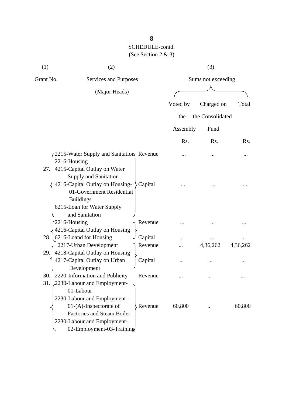| (1)          | (2)                                                                                                                                                                                                       |         |          | (3)                |          |
|--------------|-----------------------------------------------------------------------------------------------------------------------------------------------------------------------------------------------------------|---------|----------|--------------------|----------|
| Grant No.    | Services and Purposes                                                                                                                                                                                     |         |          | Sums not exceeding |          |
|              | (Major Heads)                                                                                                                                                                                             |         |          |                    |          |
|              |                                                                                                                                                                                                           |         | Voted by | Charged on         | Total    |
|              |                                                                                                                                                                                                           |         | the      | the Consolidated   |          |
|              |                                                                                                                                                                                                           |         |          |                    |          |
|              |                                                                                                                                                                                                           |         | Assembly | Fund               |          |
|              |                                                                                                                                                                                                           |         | Rs.      | Rs.                | Rs.      |
| 2216-Housing | 2215-Water Supply and Sanitation, Revenue                                                                                                                                                                 |         |          |                    |          |
| 27.          | 4215-Capital Outlay on Water<br><b>Supply and Sanitation</b><br>4216-Capital Outlay on Housing-<br>01-Government Residential<br><b>Buildings</b><br>6215-Loan for Water Supply                            | Capital |          |                    |          |
| 2216-Housing | and Sanitation<br>4216-Capital Outlay on Housing                                                                                                                                                          | Revenue |          |                    |          |
| 28.          | 6216-Loand for Housing                                                                                                                                                                                    | Capital |          |                    |          |
|              | 2217-Urban Development                                                                                                                                                                                    | Revenue |          | 4,36,262           | 4,36,262 |
| 29.          | 4218-Capital Outlay on Housing<br>4217-Capital Outlay on Urban<br>Development                                                                                                                             | Capital |          |                    |          |
| 30.          | 2220-Information and Publicity                                                                                                                                                                            | Revenue |          |                    |          |
|              | 31. 2230-Labour and Employment-<br>01-Labour<br>2230-Labour and Employment-<br>$01-(A)$ -Inspectorate of<br><b>Factories and Steam Boiler</b><br>2230-Labour and Employment-<br>02-Employment-03-Training | Revenue | 60,800   |                    | 60,800   |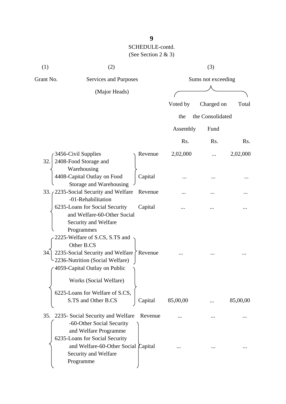| (1)       | (2)                                                                                                                                                               |                |          | (3)                |          |
|-----------|-------------------------------------------------------------------------------------------------------------------------------------------------------------------|----------------|----------|--------------------|----------|
| Grant No. | Services and Purposes                                                                                                                                             |                |          | Sums not exceeding |          |
|           | (Major Heads)                                                                                                                                                     |                |          |                    |          |
|           |                                                                                                                                                                   |                | Voted by | Charged on         | Total    |
|           |                                                                                                                                                                   |                | the      | the Consolidated   |          |
|           |                                                                                                                                                                   |                | Assembly | Fund               |          |
|           |                                                                                                                                                                   |                | Rs.      | Rs.                | Rs.      |
| 32.       | 3456-Civil Supplies<br>2408-Food Storage and<br>Warehousing                                                                                                       | Revenue        | 2,02,000 |                    | 2,02,000 |
|           | 4408-Capital Outlay on Food<br>Storage and Warehousing                                                                                                            | Capital        |          |                    |          |
|           | 33. / 2235-Social Security and Welfare<br>-01-Rehabilitation                                                                                                      | Revenue        |          |                    |          |
|           | 6235-Loans for Social Security<br>and Welfare-60-Other Social<br>Security and Welfare<br>Programmes<br>2225-Welfare of S.CS, S.TS and<br>Other B.CS               | Capital        |          |                    |          |
| 34.       | 2235-Social Security and Welfare<br>2236-Nutrition (Social Welfare)<br>4059-Capital Outlay on Public<br>Works (Social Welfare)<br>6225-Loans for Welfare of S.CS, | $\int$ Revenue |          |                    |          |
|           | S.TS and Other B.CS                                                                                                                                               | Capital        | 85,00,00 |                    | 85,00,00 |
|           | 35. 2235- Social Security and Welfare<br>-60-Other Social Security<br>and Welfare Programme<br>6235-Loans for Social Security                                     | Revenue        |          |                    |          |
|           | and Welfare-60-Other Social Capital<br>Security and Welfare<br>Programme                                                                                          |                |          |                    |          |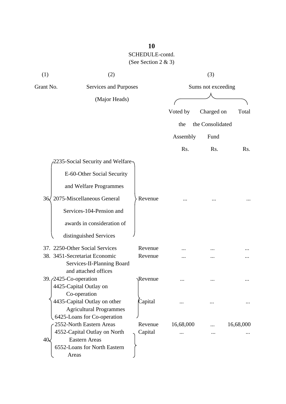| (1)       | (2)                               |                       |           | (3)                |           |  |
|-----------|-----------------------------------|-----------------------|-----------|--------------------|-----------|--|
| Grant No. |                                   | Services and Purposes |           | Sums not exceeding |           |  |
|           | (Major Heads)                     |                       |           |                    |           |  |
|           |                                   |                       | Voted by  | Charged on         | Total     |  |
|           |                                   |                       | the       | the Consolidated   |           |  |
|           |                                   |                       | Assembly  | Fund               |           |  |
|           |                                   |                       | Rs.       | Rs.                | Rs.       |  |
|           | 2235-Social Security and Welfare- |                       |           |                    |           |  |
|           | E-60-Other Social Security        |                       |           |                    |           |  |
|           | and Welfare Programmes            |                       |           |                    |           |  |
| 36/       | 2075-Miscellaneous General        | Revenue               |           |                    |           |  |
|           | Services-104-Pension and          |                       |           |                    |           |  |
|           | awards in consideration of        |                       |           |                    |           |  |
|           | distinguished Services            |                       |           |                    |           |  |
|           | 37. 2250-Other Social Services    | Revenue               |           |                    |           |  |
|           | 38. 3451-Secretariat Economic     | Revenue               |           |                    |           |  |
|           | Services-II-Planning Board        |                       |           |                    |           |  |
|           | and attached offices              |                       |           |                    |           |  |
|           | 39. <i>(2425-Co-operation</i> )   | Revenue               |           |                    |           |  |
|           | 4425-Capital Outlay on            |                       |           |                    |           |  |
|           | Co-operation                      |                       |           |                    |           |  |
|           | 4435-Capital Outlay on other      | Capital               |           |                    |           |  |
|           | <b>Agricultural Programmes</b>    |                       |           |                    |           |  |
|           | 6425-Loans for Co-operation       |                       |           |                    |           |  |
|           | 2552-North Eastern Areas          | Revenue               | 16,68,000 |                    | 16,68,000 |  |
|           | 4552-Capital Outlay on North      | Capital               |           |                    |           |  |
| 40<       | <b>Eastern Areas</b>              |                       |           |                    |           |  |
|           | 6552-Loans for North Eastern      |                       |           |                    |           |  |
|           | Areas                             |                       |           |                    |           |  |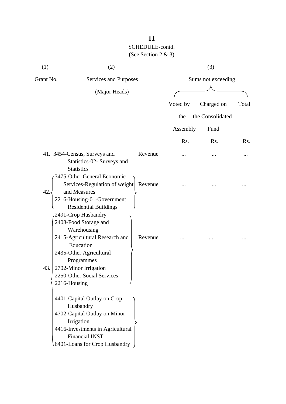| (1)       | (2)                                                                                                                                                                                                                        |         |          | (3)                |       |
|-----------|----------------------------------------------------------------------------------------------------------------------------------------------------------------------------------------------------------------------------|---------|----------|--------------------|-------|
| Grant No. | Services and Purposes                                                                                                                                                                                                      |         |          | Sums not exceeding |       |
|           | (Major Heads)                                                                                                                                                                                                              |         |          |                    |       |
|           |                                                                                                                                                                                                                            |         | Voted by | Charged on         | Total |
|           |                                                                                                                                                                                                                            |         | the      | the Consolidated   |       |
|           |                                                                                                                                                                                                                            |         | Assembly | Fund               |       |
|           |                                                                                                                                                                                                                            |         | Rs.      | Rs.                | Rs.   |
|           | 41. 3454-Census, Surveys and<br>Statistics-02- Surveys and<br><b>Statistics</b>                                                                                                                                            | Revenue |          |                    |       |
| 42.       | 3475-Other General Economic<br>Services-Regulation of weight<br>and Measures<br>2216-Housing-01-Government<br><b>Residential Buildings</b>                                                                                 | Revenue |          |                    |       |
| 43.       | 2491-Crop Husbandry<br>2408-Food Storage and<br>Warehousing<br>2415-Agricultural Research and<br>Education<br>2435-Other Agricultural<br>Programmes<br>2702-Minor Irrigation<br>2250-Other Social Services<br>2216-Housing | Revenue |          |                    |       |
|           | 4401-Capital Outlay on Crop<br>Husbandry<br>4702-Capital Outlay on Minor<br>Irrigation<br>4416-Investments in Agricultural<br><b>Financial INST</b><br>6401-Loans for Crop Husbandry                                       |         |          |                    |       |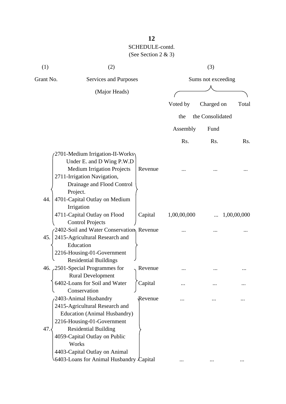| (1)       | (2)                                                                                                                                                                                                                                    |         |             | (3)                |                  |
|-----------|----------------------------------------------------------------------------------------------------------------------------------------------------------------------------------------------------------------------------------------|---------|-------------|--------------------|------------------|
| Grant No. | Services and Purposes                                                                                                                                                                                                                  |         |             | Sums not exceeding |                  |
|           | (Major Heads)                                                                                                                                                                                                                          |         |             |                    |                  |
|           |                                                                                                                                                                                                                                        |         | Voted by    | Charged on         | Total            |
|           |                                                                                                                                                                                                                                        |         | the         | the Consolidated   |                  |
|           |                                                                                                                                                                                                                                        |         | Assembly    | Fund               |                  |
|           |                                                                                                                                                                                                                                        |         | Rs.         | Rs.                | R <sub>s</sub> . |
|           | 2701-Medium Irrigation-II-Works<br>Under E. and D Wing P.W.D<br><b>Medium Irrigation Projects</b><br>2711-Irrigation Navigation,<br>Drainage and Flood Control<br>Project.                                                             | Revenue |             |                    |                  |
| 44.       | 4701-Capital Outlay on Medium<br>Irrigation<br>4711-Capital Outlay on Flood<br><b>Control Projects</b>                                                                                                                                 | Capital | 1,00,00,000 |                    | 1,00,00,000      |
| 45.       | 2402-Soil and Water Conservation Revenue<br>2415-Agricultural Research and<br>Education<br>2216-Housing-01-Government<br><b>Residential Buildings</b>                                                                                  |         |             |                    |                  |
|           | 46. 2501-Special Programmes for<br><b>Rural Development</b>                                                                                                                                                                            | Revenue |             |                    |                  |
|           | 6402-Loans for Soil and Water<br>Conservation                                                                                                                                                                                          | Capital |             |                    |                  |
| 47.       | 2403-Animal Husbandry<br>2415-Agricultural Research and<br><b>Education (Animal Husbandry)</b><br>2216-Housing-01-Government<br><b>Residential Building</b><br>4059-Capital Outlay on Public<br>Works<br>4403-Capital Outlay on Animal | Revenue |             |                    |                  |
|           | 6403-Loans for Animal Husbandry Capital                                                                                                                                                                                                |         |             |                    |                  |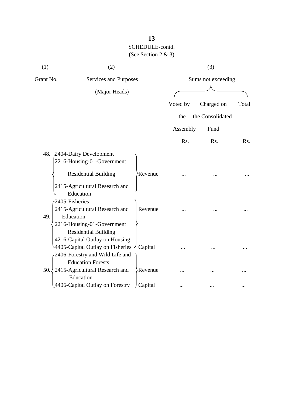| (1)       | (2)                                                                                                                                                                                                         |                       |          | (3)                |       |  |
|-----------|-------------------------------------------------------------------------------------------------------------------------------------------------------------------------------------------------------------|-----------------------|----------|--------------------|-------|--|
| Grant No. |                                                                                                                                                                                                             | Services and Purposes |          | Sums not exceeding |       |  |
|           | (Major Heads)                                                                                                                                                                                               |                       |          |                    |       |  |
|           |                                                                                                                                                                                                             |                       | Voted by | Charged on         | Total |  |
|           |                                                                                                                                                                                                             |                       | the      | the Consolidated   |       |  |
|           |                                                                                                                                                                                                             |                       | Assembly | Fund               |       |  |
|           |                                                                                                                                                                                                             |                       | Rs.      | Rs.                | Rs.   |  |
|           | 48. 2404-Dairy Development<br>2216-Housing-01-Government<br><b>Residential Building</b><br>2415-Agricultural Research and<br>Education<br>2405-Fisheries<br>2415-Agricultural Research and                  | Revenue<br>Revenue    |          |                    |       |  |
| 49.       | Education<br>2216-Housing-01-Government<br><b>Residential Building</b><br>4216-Capital Outlay on Housing<br>4405-Capital Outlay on Fisheries<br>2406-Forestry and Wild Life and<br><b>Education Forests</b> | Capital               |          |                    |       |  |
| 50.       | 2415-Agricultural Research and<br>Education                                                                                                                                                                 | Revenue               |          |                    |       |  |
|           | 4406-Capital Outlay on Forestry                                                                                                                                                                             | J Capital             |          |                    |       |  |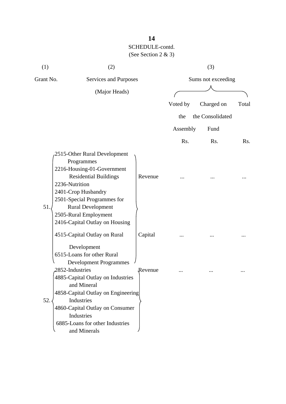| (1)       | (2)                                                                                                                                                                                                                                                                                                     |                    |                    | (3)              |                  |  |
|-----------|---------------------------------------------------------------------------------------------------------------------------------------------------------------------------------------------------------------------------------------------------------------------------------------------------------|--------------------|--------------------|------------------|------------------|--|
| Grant No. | Services and Purposes                                                                                                                                                                                                                                                                                   |                    | Sums not exceeding |                  |                  |  |
|           | (Major Heads)                                                                                                                                                                                                                                                                                           |                    |                    |                  |                  |  |
|           |                                                                                                                                                                                                                                                                                                         |                    | Voted by           | Charged on       | Total            |  |
|           |                                                                                                                                                                                                                                                                                                         |                    | the                | the Consolidated |                  |  |
|           |                                                                                                                                                                                                                                                                                                         |                    | Assembly           | Fund             |                  |  |
|           |                                                                                                                                                                                                                                                                                                         |                    | Rs.                | Rs.              | R <sub>s</sub> . |  |
| 51.       | 2515-Other Rural Development<br>Programmes<br>2216-Housing-01-Government<br><b>Residential Buildings</b><br>2236-Nutrition<br>2401-Crop Husbandry<br>2501-Special Programmes for<br><b>Rural Development</b><br>2505-Rural Employment<br>2416-Capital Outlay on Housing<br>4515-Capital Outlay on Rural | Revenue<br>Capital |                    |                  |                  |  |
|           | Development<br>6515-Loans for other Rural<br><b>Development Programmes</b>                                                                                                                                                                                                                              |                    |                    |                  |                  |  |
| 52.       | 2852-Industries<br>4885-Capital Outlay on Industries<br>and Mineral<br>4858-Capital Outlay on Engineering<br>Industries<br>4860-Capital Outlay on Consumer<br>Industries<br>6885-Loans for other Industries<br>and Minerals                                                                             | Revenue            |                    |                  |                  |  |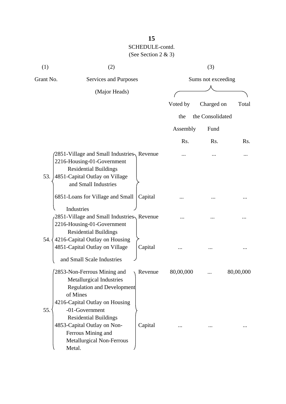| (1)       | (2)                                                                                                                                                                          |         |           | (3)                |           |
|-----------|------------------------------------------------------------------------------------------------------------------------------------------------------------------------------|---------|-----------|--------------------|-----------|
| Grant No. | Services and Purposes                                                                                                                                                        |         |           | Sums not exceeding |           |
|           | (Major Heads)                                                                                                                                                                |         |           |                    |           |
|           |                                                                                                                                                                              |         | Voted by  | Charged on         | Total     |
|           |                                                                                                                                                                              |         | the       | the Consolidated   |           |
|           |                                                                                                                                                                              |         | Assembly  | Fund               |           |
|           |                                                                                                                                                                              |         | Rs.       | Rs.                | Rs.       |
| 53.       | 2851-Village and Small Industries, Revenue<br>2216-Housing-01-Government<br><b>Residential Buildings</b><br>4851-Capital Outlay on Village<br>and Small Industries           |         |           |                    |           |
|           | 6851-Loans for Village and Small                                                                                                                                             | Capital |           |                    |           |
|           | Industries<br>2851-Village and Small Industries, Revenue<br>2216-Housing-01-Government<br><b>Residential Buildings</b>                                                       |         |           |                    |           |
| 54. {     | 4216-Capital Outlay on Housing<br>4851-Capital Outlay on Village                                                                                                             | Capital |           |                    |           |
|           | and Small Scale Industries<br>2853-Non-Ferrous Mining and<br>Metallurgical Industries<br><b>Regulation and Development</b><br>of Mines                                       | Revenue | 80,00,000 |                    | 80,00,000 |
| 55.       | 4216-Capital Outlay on Housing<br>-01-Government<br><b>Residential Buildings</b><br>4853-Capital Outlay on Non-<br>Ferrous Mining and<br>Metallurgical Non-Ferrous<br>Metal. | Capital |           |                    |           |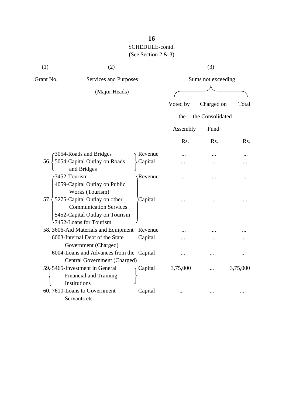| (1)       | (2)                                                                                                                                      |         |           | (3)                |                  |
|-----------|------------------------------------------------------------------------------------------------------------------------------------------|---------|-----------|--------------------|------------------|
| Grant No. | Services and Purposes                                                                                                                    |         |           | Sums not exceeding |                  |
|           | (Major Heads)                                                                                                                            |         |           |                    |                  |
|           |                                                                                                                                          |         | Voted by  | Charged on         | Total            |
|           |                                                                                                                                          |         | the       | the Consolidated   |                  |
|           |                                                                                                                                          |         |           |                    |                  |
|           |                                                                                                                                          |         | Assembly  | Fund               |                  |
|           |                                                                                                                                          |         | Rs.       | R <sub>s</sub> .   | R <sub>s</sub> . |
|           | 3054-Roads and Bridges                                                                                                                   | Revenue |           |                    |                  |
| 56.3      | 5054-Capital Outlay on Roads<br>and Bridges                                                                                              | Capital |           |                    |                  |
|           | 3452-Tourism<br>4059-Capital Outlay on Public<br>Works (Tourism)                                                                         | Revenue | $\ddotsc$ | .                  |                  |
|           | 57. $\langle$ 5275-Capital Outlay on other<br><b>Communication Services</b><br>5452-Capital Outlay on Tourism<br>57452-Loans for Tourism | Capital |           |                    |                  |
|           | 58. 3606-Aid Materials and Equipment                                                                                                     | Revenue | .         |                    |                  |
|           | 6003-Internal Debt of the State<br>Government (Charged)                                                                                  | Capital |           |                    |                  |
|           | 6004-Loans and Advances from the Capital<br>Central Government (Charged)                                                                 |         | .         |                    |                  |
|           | 59, 5465-Investment in General<br>Financial and Training<br>Institutions                                                                 | Capital | 3,75,000  |                    | 3,75,000         |
|           | 60.7610-Loans to Government<br>Servants etc                                                                                              | Capital |           |                    |                  |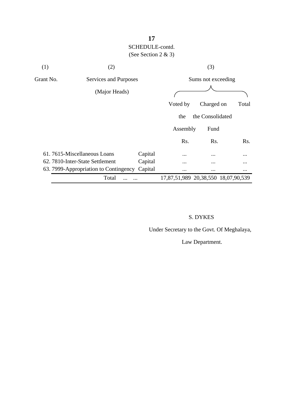| (1)                                | (2)                                   |         |                                     | (3)              |          |
|------------------------------------|---------------------------------------|---------|-------------------------------------|------------------|----------|
| Grant No.<br>Services and Purposes |                                       |         | Sums not exceeding                  |                  |          |
|                                    | (Major Heads)                         |         |                                     |                  |          |
|                                    |                                       |         | Voted by                            | Charged on       | Total    |
|                                    |                                       |         | the                                 | the Consolidated |          |
|                                    |                                       |         | Assembly                            | Fund             |          |
|                                    |                                       |         | Rs.                                 | Rs.              | Rs.      |
|                                    | 61.7615-Miscellaneous Loans           | Capital | $\cdots$                            | $\cdots$         | $\cdots$ |
|                                    | 62. 7810-Inter-State Settlement       | Capital |                                     |                  | $\cdots$ |
|                                    | 63. 7999-Appropriation to Contingency | Capital | $\cdots$                            | $\cdots$         | $\cdots$ |
|                                    | Total                                 |         | 17,87,51,989 20,38,550 18,07,90,539 |                  |          |

#### S. DYKES

Under Secretary to the Govt. Of Meghalaya,

Law Department.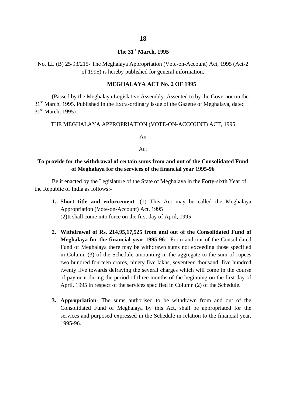#### **The 31st March, 1995**

No. LL (B) 25/93/215- The Meghalaya Appropriation (Vote-on-Account) Act, 1995 (Act-2 of 1995) is hereby published for general information.

#### **MEGHALAYA ACT No. 2 OF 1995**

(Passed by the Meghalaya Legislative Assembly. Assented to by the Governor on the 31<sup>st</sup> March, 1995. Published in the Extra-ordinary issue of the Gazette of Meghalaya, dated  $31<sup>st</sup>$  March, 1995)

THE MEGHALAYA APPROPRIATION (VOTE-ON-ACCOUNT) ACT, 1995

An

#### Act

#### **To provide for the withdrawal of certain sums from and out of the Consolidated Fund of Meghalaya for the services of the financial year 1995-96**

Be it enacted by the Legislature of the State of Meghalaya in the Forty-sixth Year of the Republic of India as follows:-

- **1. Short title and enforcement** (1) This Act may be called the Meghalaya Appropriation (Vote-on-Account) Act, 1995 (2)It shall come into force on the first day of April, 1995
- **2. Withdrawal of Rs. 214,95,17,525 from and out of the Consolidated Fund of Meghalaya for the financial year 1995-96**:- From and out of the Consolidated Fund of Meghalaya there may be withdrawn sums not exceeding those specified in Column (3) of the Schedule amounting in the aggregate to the sum of rupees two hundred fourteen crores, ninety five lakhs, seventeen thousand, five hundred twenty five towards defraying the several charges which will come in the course of payment during the period of three months of the beginning on the first day of April, 1995 in respect of the services specified in Column (2) of the Schedule.
- **3. Appropriation** The sums authorised to be withdrawn from and out of the Consolidated Fund of Meghalaya by this Act, shall be appropriated for the services and purposed expressed in the Schedule in relation to the financial year, 1995-96.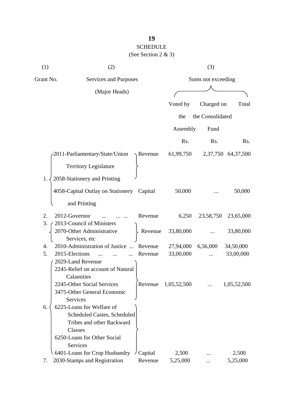# **19** SCHEDULE

### (See Section 2 & 3)

| (1)       | (2)                                                    |         |                    | (3)              |                    |  |
|-----------|--------------------------------------------------------|---------|--------------------|------------------|--------------------|--|
| Grant No. | Services and Purposes                                  |         | Sums not exceeding |                  |                    |  |
|           | (Major Heads)                                          |         |                    |                  |                    |  |
|           |                                                        |         | Voted by           | Charged on       | Total              |  |
|           |                                                        |         |                    |                  |                    |  |
|           |                                                        |         | the                | the Consolidated |                    |  |
|           |                                                        |         | Assembly           | Fund             |                    |  |
|           |                                                        |         | Rs.                | Rs.              | Rs.                |  |
|           | 2011-Parliamentary/State/Union                         | Revenue | 61,99,750          |                  | 2,37,750 64,37,500 |  |
|           | <b>Territory Legislature</b>                           |         |                    |                  |                    |  |
| 1.        | 2058-Stationery and Printing                           |         |                    |                  |                    |  |
|           | 4058-Capital Outlay on Stationery                      | Capital | 50,000             |                  | 50,000             |  |
|           | and Printing                                           |         |                    |                  |                    |  |
| 2.        | 2012-Governor                                          | Revenue | 6,250              | 23,58,750        | 23,65,000          |  |
| 3.        | 2013-Council of Ministers<br>2070-Other Administrative | Revenue | 33,80,000          |                  | 33,80,000          |  |
|           | Services, etc                                          |         |                    |                  |                    |  |
| 4.        | 2010-Administration of Justice<br>$\dddotsc$           | Revenue | 27,94,000          | 6,56,000         | 34,50,000          |  |
| 5.        | 2015-Elections                                         | Revenue | 33,00,000          |                  | 33,00,000          |  |
|           | 2029-Land Revenue                                      |         |                    |                  |                    |  |
|           | 2245-Relief on account of Natural                      |         |                    |                  |                    |  |
|           | Calamities<br>2245-Other Social Services               | Revenue | 1,05,52,500        |                  | 1,05,52,500        |  |
|           | 3475-Other General Economic                            |         |                    |                  |                    |  |
|           | Services                                               |         |                    |                  |                    |  |
| 6.        | 6225-Loans for Welfare of                              |         |                    |                  |                    |  |
|           | <b>Scheduled Castes, Scheduled</b>                     |         |                    |                  |                    |  |
|           | Tribes and other Backward                              |         |                    |                  |                    |  |
|           | Classes                                                |         |                    |                  |                    |  |
|           | 6250-Loans for Other Social                            |         |                    |                  |                    |  |
|           | <b>Services</b>                                        |         |                    |                  |                    |  |
|           | 6401-Loans for Crop Husbandry                          | Capital | 2,500              |                  | 2,500              |  |
| 7.        | 2030-Stamps and Registration                           | Revenue | 5,25,000           |                  | 5,25,000           |  |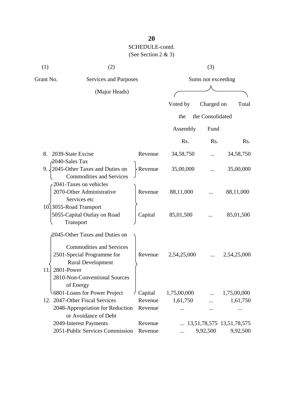| (1)       | (2)                                                                                                                                                                                     |         |                    | (3)              |                                    |
|-----------|-----------------------------------------------------------------------------------------------------------------------------------------------------------------------------------------|---------|--------------------|------------------|------------------------------------|
| Grant No. | Services and Purposes                                                                                                                                                                   |         | Sums not exceeding |                  |                                    |
|           | (Major Heads)                                                                                                                                                                           |         |                    |                  |                                    |
|           |                                                                                                                                                                                         |         | Voted by           | Charged on       | Total                              |
|           |                                                                                                                                                                                         |         | the                | the Consolidated |                                    |
|           |                                                                                                                                                                                         |         | Assembly           | Fund             |                                    |
|           |                                                                                                                                                                                         |         | Rs.                | Rs.              | Rs.                                |
| 8.        | 2039-State Excise<br>2040-Sales Tax                                                                                                                                                     | Revenue | 34,58,750          |                  | 34,58,750                          |
| 9.        | 2045-Other Taxes and Duties on<br><b>Commodities and Services</b>                                                                                                                       | Revenue | 35,00,000          |                  | 35,00,000                          |
|           | 2041-Taxes on vehicles<br>2070-Other Administrative<br>Services etc                                                                                                                     | Revenue | 88,11,000          |                  | 88,11,000                          |
|           | 10.3055-Road Transport<br>5055-Capital Outlay on Road<br>Transport                                                                                                                      | Capital | 85,01,500          |                  | 85,01,500                          |
| 11        | 2045-Other Taxes and Duties on<br><b>Commodities and Services</b><br>2501-Special Programme for<br><b>Rural Development</b><br>2801-Power<br>2810-Non-Conventional Sources<br>of Energy | Revenue | 2,54,25,000        |                  | 2,54,25,000                        |
|           | 6801-Loans for Power Project                                                                                                                                                            | Capital | 1,75,00,000        |                  | 1,75,00,000                        |
|           | 12. 2047-Other Fiscal Services                                                                                                                                                          | Revenue | 1,61,750           |                  | 1,61,750                           |
|           | 2048-Appropriation for Reduction<br>or Avoidance of Debt                                                                                                                                | Revenue |                    |                  |                                    |
|           | 2049-Interest Payments                                                                                                                                                                  | Revenue |                    |                  | $\ldots$ 13,51,78,575 13,51,78,575 |
|           | 2051-Public Services Commission                                                                                                                                                         | Revenue |                    | 9,92,500         | 9,92,500                           |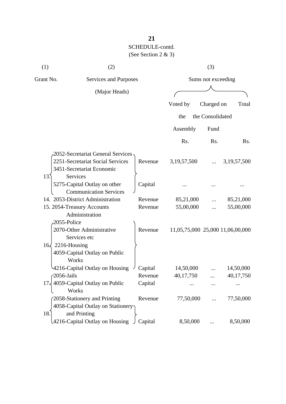| (1)       | (2)                                                                                                            |         |                                  | (3)                |                |
|-----------|----------------------------------------------------------------------------------------------------------------|---------|----------------------------------|--------------------|----------------|
| Grant No. | Services and Purposes                                                                                          |         |                                  | Sums not exceeding |                |
|           | (Major Heads)                                                                                                  |         |                                  |                    |                |
|           |                                                                                                                |         | Voted by                         | Charged on         | Total          |
|           |                                                                                                                |         | the                              | the Consolidated   |                |
|           |                                                                                                                |         | Assembly                         | Fund               |                |
|           |                                                                                                                |         | Rs.                              | Rs.                | Rs.            |
| 13.       | 2052-Secretariat General Services<br>2251-Secretariat Social Services<br>3451-Secretariat Economic<br>Services | Revenue | 3,19,57,500                      |                    | 3, 19, 57, 500 |
|           | 5275-Capital Outlay on other<br><b>Communication Services</b>                                                  | Capital |                                  |                    |                |
|           | 14. 2053-District Administration                                                                               | Revenue | 85,21,000                        |                    | 85,21,000      |
|           | 15. 2054-Treasury Accounts<br>Administration                                                                   | Revenue | 55,00,000                        |                    | 55,00,000      |
|           | 2055-Police<br>2070-Other Administrative<br>Services etc                                                       | Revenue | 11,05,75,000 25,000 11,06,00,000 |                    |                |
|           | $16\sqrt{2216}$ -Housing<br>4059-Capital Outlay on Public<br>Works                                             |         |                                  |                    |                |
|           | 4216-Capital Outlay on Housing                                                                                 | Capital | 14,50,000                        |                    | 14,50,000      |
|           | $\angle 2056$ -Jails                                                                                           | Revenue | 40,17,750                        |                    | 40,17,750      |
|           | 17, 4059-Capital Outlay on Public<br>Works                                                                     | Capital |                                  |                    |                |
| 18.       | 2058-Stationery and Printing<br>4058-Capital Outlay on Stationery<br>and Printing                              | Revenue | 77,50,000                        |                    | 77,50,000      |
|           | 4216-Capital Outlay on Housing                                                                                 | Capital | 8,50,000                         |                    | 8,50,000       |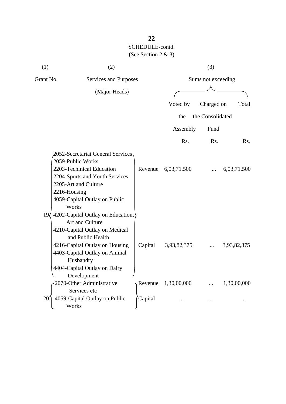| (1)       | (2)                                                                                                                                                                                                                                                                     |                    |                            | (3)                |                            |
|-----------|-------------------------------------------------------------------------------------------------------------------------------------------------------------------------------------------------------------------------------------------------------------------------|--------------------|----------------------------|--------------------|----------------------------|
| Grant No. | Services and Purposes                                                                                                                                                                                                                                                   |                    |                            | Sums not exceeding |                            |
|           | (Major Heads)                                                                                                                                                                                                                                                           |                    |                            |                    |                            |
|           |                                                                                                                                                                                                                                                                         |                    | Voted by                   | Charged on         | Total                      |
|           |                                                                                                                                                                                                                                                                         |                    |                            |                    |                            |
|           |                                                                                                                                                                                                                                                                         |                    | the                        | the Consolidated   |                            |
|           |                                                                                                                                                                                                                                                                         |                    | Assembly                   | Fund               |                            |
|           |                                                                                                                                                                                                                                                                         |                    | Rs.                        | Rs.                | Rs.                        |
|           | 2052-Secretariat General Services<br>2059-Public Works<br>2203-Techinical Education<br>2204-Sports and Youth Services<br>2205-Art and Culture<br>2216-Housing<br>4059-Capital Outlay on Public<br>Works                                                                 | Revenue            | 6,03,71,500                |                    | 6,03,71,500                |
| 19<       | 4202-Capital Outlay on Education,<br>Art and Culture<br>4210-Capital Outlay on Medical<br>and Public Health<br>4216-Capital Outlay on Housing<br>4403-Capital Outlay on Animal<br>Husbandry<br>4404-Capital Outlay on Dairy<br>Development<br>2070-Other Administrative | Capital<br>Revenue | 3,93,82,375<br>1,30,00,000 |                    | 3,93,82,375<br>1,30,00,000 |
|           | Services etc                                                                                                                                                                                                                                                            |                    |                            |                    |                            |
| 20        | 4059-Capital Outlay on Public<br>Works                                                                                                                                                                                                                                  | Capital            |                            |                    |                            |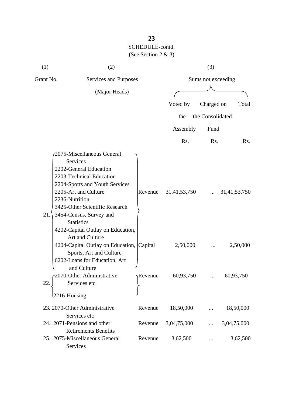| (1)       | (2)                                                                                                                                                                                                                                                                                                                |                  |                       | (3)              |                       |  |
|-----------|--------------------------------------------------------------------------------------------------------------------------------------------------------------------------------------------------------------------------------------------------------------------------------------------------------------------|------------------|-----------------------|------------------|-----------------------|--|
| Grant No. | Services and Purposes                                                                                                                                                                                                                                                                                              |                  | Sums not exceeding    |                  |                       |  |
|           | (Major Heads)                                                                                                                                                                                                                                                                                                      |                  |                       |                  |                       |  |
|           |                                                                                                                                                                                                                                                                                                                    |                  | Voted by              | Charged on       | Total                 |  |
|           |                                                                                                                                                                                                                                                                                                                    |                  | the                   | the Consolidated |                       |  |
|           |                                                                                                                                                                                                                                                                                                                    |                  | Assembly              | Fund             |                       |  |
|           |                                                                                                                                                                                                                                                                                                                    |                  | Rs.                   | Rs.              | Rs.                   |  |
| 21.       | 2075-Miscellaneous General<br>Services<br>2202-General Education<br>2203-Technical Education<br>2204-Sports and Youth Services<br>2205-Art and Culture<br>2236-Nutrition<br>3425-Other Scientific Research<br>3454-Census, Survey and<br><b>Statistics</b><br>4202-Capital Outlay on Education,<br>Art and Culture | Revenue          | 31,41,53,750          |                  | 31,41,53,750          |  |
|           | 4204-Capital Outlay on Education, Capital<br>Sports, Art and Culture<br>6202-Loans for Education, Art<br>and Culture<br>2070-Other Administrative                                                                                                                                                                  | $\gamma$ Revenue | 2,50,000<br>60,93,750 |                  | 2,50,000<br>60,93,750 |  |
| 22.       | Services etc                                                                                                                                                                                                                                                                                                       |                  |                       |                  |                       |  |
|           | $2216$ -Housing                                                                                                                                                                                                                                                                                                    |                  |                       |                  |                       |  |
|           | 23. 2070-Other Administrative<br>Services etc                                                                                                                                                                                                                                                                      | Revenue          | 18,50,000             |                  | 18,50,000             |  |
|           | 24. 2071-Pensions and other<br><b>Retirements Benefits</b>                                                                                                                                                                                                                                                         | Revenue          | 3,04,75,000           |                  | 3,04,75,000           |  |
|           | 25. 2075-Miscellaneous General<br>Services                                                                                                                                                                                                                                                                         | Revenue          | 3,62,500              |                  | 3,62,500              |  |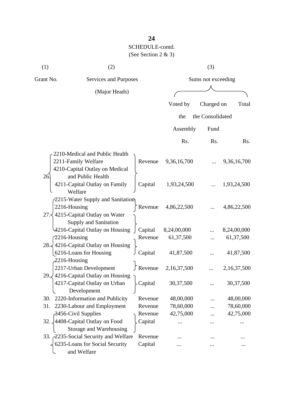| (1)                                | (2)                                                                                                                  |                    |             | (3)              |             |
|------------------------------------|----------------------------------------------------------------------------------------------------------------------|--------------------|-------------|------------------|-------------|
| Grant No.<br>Services and Purposes |                                                                                                                      | Sums not exceeding |             |                  |             |
|                                    | (Major Heads)                                                                                                        |                    |             |                  |             |
|                                    |                                                                                                                      |                    | Voted by    | Charged on       | Total       |
|                                    |                                                                                                                      |                    | the         | the Consolidated |             |
|                                    |                                                                                                                      |                    |             |                  |             |
|                                    |                                                                                                                      |                    | Assembly    | Fund             |             |
|                                    |                                                                                                                      |                    | Rs.         | Rs.              | Rs.         |
|                                    | 2210-Medical and Public Health<br>2211-Family Welfare<br>4210-Capital Outlay on Medical                              | Revenue            | 9,36,16,700 |                  | 9,36,16,700 |
| 26                                 | and Public Health<br>4211-Capital Outlay on Family<br>Welfare                                                        | Capital            | 1,93,24,500 |                  | 1,93,24,500 |
|                                    | 2215-Water Supply and Sanitation<br>2216-Housing<br>27. $\leq$ 4215-Capital Outlay on Water<br>Supply and Sanitation | Revenue            | 4,86,22,500 |                  | 4,86,22,500 |
|                                    | 4216-Capital Outlay on Housing                                                                                       | Capital            | 8,24,00,000 |                  | 8,24,00,000 |
|                                    | $2216$ -Housing<br>28. 4216-Capital Outlay on Housing                                                                | Revenue            | 61,37,500   |                  | 61,37,500   |
|                                    | 6216-Loans for Housing<br>$2216$ -Housing                                                                            | Capital            | 41,87,500   |                  | 41,87,500   |
| 29.4                               | 2217-Urban Development<br>4216-Capital Outlay on Housing                                                             | ∫ Revenue          | 2,16,37,500 |                  | 2,16,37,500 |
|                                    | 4217-Capital Outlay on Urban<br>Development                                                                          | Capital            | 30, 37, 500 |                  | 30, 37, 500 |
| 30.                                | 2220-Information and Publicity                                                                                       | Revenue            | 48,00,000   |                  | 48,00,000   |
| 31.                                | 2230-Labour and Employment                                                                                           | Revenue            | 78,60,000   | .                | 78,60,000   |
|                                    | 3456-Civil Supplies                                                                                                  | Revenue            | 42,75,000   |                  | 42,75,000   |
| 32.                                | 4408-Capital Outlay on Food<br>Storage and Warehousing                                                               | Capital            |             |                  |             |
|                                    | 33. 2235-Social Security and Welfare                                                                                 | Revenue            |             |                  |             |
|                                    | 6235-Loans for Social Security<br>and Welfare                                                                        | Capital            |             |                  |             |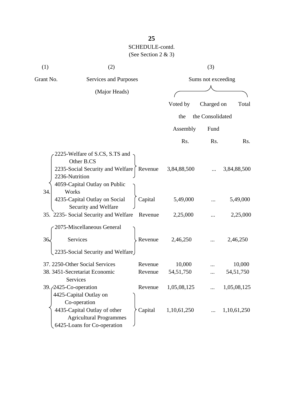| (1)       | (2)                                                                                                                                                    |         |                    | (3)              |             |
|-----------|--------------------------------------------------------------------------------------------------------------------------------------------------------|---------|--------------------|------------------|-------------|
| Grant No. | Services and Purposes                                                                                                                                  |         | Sums not exceeding |                  |             |
|           | (Major Heads)                                                                                                                                          |         |                    |                  |             |
|           |                                                                                                                                                        |         | Voted by           | Charged on       | Total       |
|           |                                                                                                                                                        |         | the                | the Consolidated |             |
|           |                                                                                                                                                        |         | Assembly           | Fund             |             |
|           |                                                                                                                                                        |         | Rs.                | Rs.              | Rs.         |
| 34.       | 2225-Welfare of S.CS, S.TS and<br>Other B.CS<br>2235-Social Security and Welfare [ Revenue<br>2236-Nutrition<br>4059-Capital Outlay on Public<br>Works |         | 3,84,88,500        |                  | 3,84,88,500 |
|           | 4235-Capital Outlay on Social<br>Security and Welfare                                                                                                  | Capital | 5,49,000           |                  | 5,49,000    |
|           | 35. 2235- Social Security and Welfare                                                                                                                  | Revenue | 2,25,000           |                  | 2,25,000    |
|           | 2075-Miscellaneous General                                                                                                                             |         |                    |                  |             |
| 36.       | <b>Services</b>                                                                                                                                        | Revenue | 2,46,250           |                  | 2,46,250    |
|           | 2235-Social Security and Welfare                                                                                                                       |         |                    |                  |             |
|           | 37. 2250-Other Social Services                                                                                                                         | Revenue | 10,000             |                  | 10,000      |
|           | 38. 3451-Secretariat Economic                                                                                                                          | Revenue | 54, 51, 750        | .                | 54, 51, 750 |
|           | Services                                                                                                                                               |         |                    |                  |             |
|           | 39. $\sqrt{2425}$ -Co-operation<br>4425-Capital Outlay on<br>Co-operation                                                                              | Revenue | 1,05,08,125        |                  | 1,05,08,125 |
|           | 4435-Capital Outlay of other<br><b>Agricultural Programmes</b><br>6425-Loans for Co-operation                                                          | Capital | 1,10,61,250        |                  | 1,10,61,250 |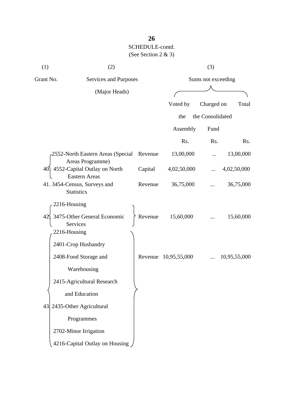| (1)       | (2)                                                     |         |                      | (3)                |              |  |  |
|-----------|---------------------------------------------------------|---------|----------------------|--------------------|--------------|--|--|
| Grant No. | Services and Purposes                                   |         |                      | Sums not exceeding |              |  |  |
|           | (Major Heads)                                           |         |                      |                    |              |  |  |
|           |                                                         |         | Voted by             | Charged on         | Total        |  |  |
|           |                                                         |         | the                  | the Consolidated   |              |  |  |
|           |                                                         |         | Assembly             | Fund               |              |  |  |
|           |                                                         |         | Rs.                  | Rs.                | Rs.          |  |  |
|           | 2552-North Eastern Areas (Special<br>Areas Programme)   | Revenue | 13,00,000            |                    | 13,00,000    |  |  |
| 40.       | 4552-Capital Outlay on North<br><b>Eastern Areas</b>    | Capital | 4,02,50,000          |                    | 4,02,50,000  |  |  |
|           | 41. 3454-Census, Surveys and<br><b>Statistics</b>       | Revenue | 36,75,000            |                    | 36,75,000    |  |  |
|           | 2216-Housing                                            |         |                      |                    |              |  |  |
|           | 3475-Other General Economic<br>Services<br>2216-Housing | Revenue | 15,60,000            |                    | 15,60,000    |  |  |
|           | 2401-Crop Husbandry                                     |         |                      |                    |              |  |  |
|           | 2408-Food Storage and                                   |         | Revenue 10,95,55,000 |                    | 10,95,55,000 |  |  |
|           | Warehousing                                             |         |                      |                    |              |  |  |
|           | 2415-Agricultural Research                              |         |                      |                    |              |  |  |
|           | and Education                                           |         |                      |                    |              |  |  |
|           | 43 2435-Other Agricultural                              |         |                      |                    |              |  |  |
|           | Programmes                                              |         |                      |                    |              |  |  |
|           | 2702-Minor Irrigation                                   |         |                      |                    |              |  |  |
|           | 4216-Capital Outlay on Housing                          |         |                      |                    |              |  |  |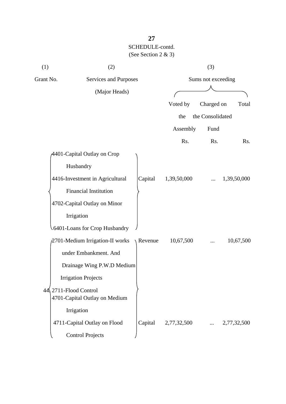| (1) | (2)                                                             |         |                    | (3)              |             |  |
|-----|-----------------------------------------------------------------|---------|--------------------|------------------|-------------|--|
|     | Grant No.<br>Services and Purposes                              |         | Sums not exceeding |                  |             |  |
|     | (Major Heads)                                                   |         |                    |                  |             |  |
|     |                                                                 |         | Voted by           | Charged on       | Total       |  |
|     |                                                                 |         | the                | the Consolidated |             |  |
|     |                                                                 |         | Assembly           | Fund             |             |  |
|     |                                                                 |         | Rs.                | Rs.              | Rs.         |  |
|     | 4401-Capital Outlay on Crop                                     |         |                    |                  |             |  |
|     | Husbandry                                                       |         |                    |                  |             |  |
|     | 4416-Investment in Agricultural                                 | Capital | 1,39,50,000        |                  | 1,39,50,000 |  |
|     | <b>Financial Institution</b>                                    |         |                    |                  |             |  |
|     | 4702-Capital Outlay on Minor                                    |         |                    |                  |             |  |
|     | Irrigation                                                      |         |                    |                  |             |  |
|     | 6401-Loans for Crop Husbandry                                   |         |                    |                  |             |  |
|     | 2701-Medium Irrigation-II works                                 | Revenue | 10,67,500          |                  | 10,67,500   |  |
|     | under Embankment. And                                           |         |                    |                  |             |  |
|     | Drainage Wing P.W.D Medium                                      |         |                    |                  |             |  |
|     | <b>Irrigation Projects</b>                                      |         |                    |                  |             |  |
|     | $44\sqrt{2711}$ -Flood Control<br>4701-Capital Outlay on Medium |         |                    |                  |             |  |
|     | Irrigation                                                      |         |                    |                  |             |  |
|     | 4711-Capital Outlay on Flood                                    | Capital | 2,77,32,500        |                  | 2,77,32,500 |  |
|     | <b>Control Projects</b>                                         |         |                    |                  |             |  |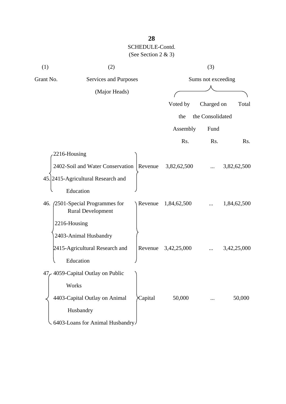| (1)       | (2)                                                          |         |                    | (3)              |             |
|-----------|--------------------------------------------------------------|---------|--------------------|------------------|-------------|
| Grant No. | Services and Purposes                                        |         | Sums not exceeding |                  |             |
|           | (Major Heads)                                                |         |                    |                  |             |
|           |                                                              |         | Voted by           | Charged on       | Total       |
|           |                                                              |         | the                | the Consolidated |             |
|           |                                                              |         | Assembly           | Fund             |             |
|           |                                                              |         | Rs.                | Rs.              | Rs.         |
|           | 2216-Housing                                                 |         |                    |                  |             |
|           | 2402-Soil and Water Conservation   Revenue                   |         | 3,82,62,500        |                  | 3,82,62,500 |
|           | 45. 2415-Agricultural Research and                           |         |                    |                  |             |
|           | Education                                                    |         |                    |                  |             |
|           | 46. (2501-Special Programmes for<br><b>Rural Development</b> | Revenue | 1,84,62,500        |                  | 1,84,62,500 |
|           | 2216-Housing                                                 |         |                    |                  |             |
|           | 2403-Animal Husbandry                                        |         |                    |                  |             |
|           | 2415-Agricultural Research and                               | Revenue | 3,42,25,000        |                  | 3,42,25,000 |
|           | Education                                                    |         |                    |                  |             |
|           | 47, 4059-Capital Outlay on Public                            |         |                    |                  |             |
|           | Works                                                        |         |                    |                  |             |
|           | 4403-Capital Outlay on Animal                                | Capital | 50,000             |                  | 50,000      |
|           | Husbandry                                                    |         |                    |                  |             |
|           | 6403-Loans for Animal Husbandry                              |         |                    |                  |             |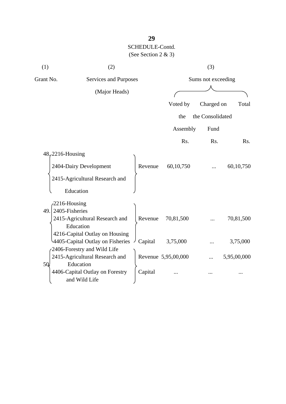| (1)       | (2)                                                                |         |                     | (3)                |             |
|-----------|--------------------------------------------------------------------|---------|---------------------|--------------------|-------------|
| Grant No. | Services and Purposes                                              |         |                     | Sums not exceeding |             |
|           | (Major Heads)                                                      |         |                     |                    |             |
|           |                                                                    |         | Voted by            | Charged on         | Total       |
|           |                                                                    |         | the                 | the Consolidated   |             |
|           |                                                                    |         | Assembly            | Fund               |             |
|           |                                                                    |         | Rs.                 | Rs.                | Rs.         |
|           | $48,2216$ -Housing                                                 |         |                     |                    |             |
|           | 2404-Dairy Development                                             | Revenue | 60, 10, 750         |                    | 60,10,750   |
|           | 2415-Agricultural Research and                                     |         |                     |                    |             |
|           | Education                                                          |         |                     |                    |             |
|           | $-2216$ -Housing                                                   |         |                     |                    |             |
|           | $49.$ 2405-Fisheries<br>2415-Agricultural Research and             | Revenue | 70,81,500           |                    | 70,81,500   |
|           | Education                                                          |         |                     |                    |             |
|           | 4216-Capital Outlay on Housing<br>4405-Capital Outlay on Fisheries | Capital | 3,75,000            |                    | 3,75,000    |
|           | 2406-Forestry and Wild Life                                        |         |                     |                    |             |
|           | 2415-Agricultural Research and                                     |         | Revenue 5,95,00,000 |                    | 5,95,00,000 |
| 5Q.       | Education<br>4406-Capital Outlay on Forestry<br>and Wild Life      | Capital |                     |                    |             |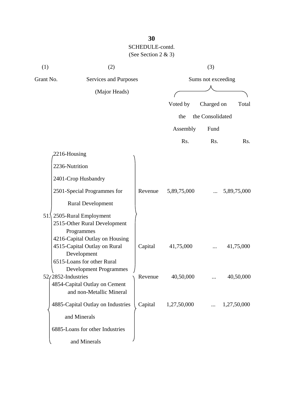| (1)       | (2)                                                                                                                                               |         |                   | (3)                |             |
|-----------|---------------------------------------------------------------------------------------------------------------------------------------------------|---------|-------------------|--------------------|-------------|
| Grant No. | Services and Purposes                                                                                                                             |         |                   | Sums not exceeding |             |
|           | (Major Heads)                                                                                                                                     |         |                   |                    |             |
|           |                                                                                                                                                   |         | Voted by          | Charged on         | Total       |
|           |                                                                                                                                                   |         | the               | the Consolidated   |             |
|           |                                                                                                                                                   |         | Assembly          | Fund               |             |
|           |                                                                                                                                                   |         | Rs.               | Rs.                | Rs.         |
|           | 2216-Housing                                                                                                                                      |         |                   |                    |             |
|           | 2236-Nutrition                                                                                                                                    |         |                   |                    |             |
|           | 2401-Crop Husbandry                                                                                                                               |         |                   |                    |             |
|           | 2501-Special Programmes for                                                                                                                       | Revenue | 5,89,75,000       |                    | 5,89,75,000 |
|           | <b>Rural Development</b>                                                                                                                          |         |                   |                    |             |
|           | 51.\2505-Rural Employment<br>2515-Other Rural Development<br>Programmes                                                                           |         |                   |                    |             |
|           | 4216-Capital Outlay on Housing<br>4515-Capital Outlay on Rural<br>Development                                                                     | Capital | 41,75,000         |                    | 41,75,000   |
|           | 6515-Loans for other Rural<br><b>Development Programmes</b><br>$52/2852$ -Industries<br>4854-Capital Outlay on Cement<br>and non-Metallic Mineral |         | Revenue 40,50,000 |                    | 40,50,000   |
|           | 4885-Capital Outlay on Industries                                                                                                                 | Capital | 1,27,50,000       |                    | 1,27,50,000 |
|           | and Minerals                                                                                                                                      |         |                   |                    |             |
|           | 6885-Loans for other Industries                                                                                                                   |         |                   |                    |             |
|           | and Minerals                                                                                                                                      |         |                   |                    |             |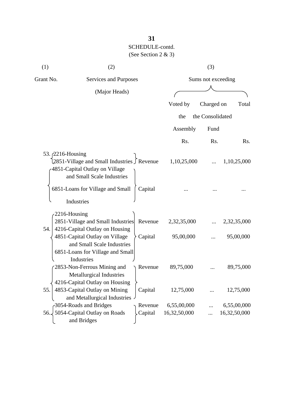| (1)                    | (2)                                                                                                            |         |                    | (3)              |              |
|------------------------|----------------------------------------------------------------------------------------------------------------|---------|--------------------|------------------|--------------|
| Grant No.              | Services and Purposes<br>(Major Heads)                                                                         |         | Sums not exceeding |                  |              |
|                        |                                                                                                                |         |                    |                  |              |
|                        |                                                                                                                |         | Voted by           | Charged on       | Total        |
|                        |                                                                                                                |         | the                | the Consolidated |              |
|                        |                                                                                                                |         | Assembly           | Fund             |              |
|                        |                                                                                                                |         | Rs.                | Rs.              | Rs.          |
| 53. 2216-Housing       | [2851-Village and Small Industries J Revenue<br>4851-Capital Outlay on Village<br>and Small Scale Industries   |         | 1,10,25,000        |                  | 1,10,25,000  |
|                        | 6851-Loans for Village and Small<br>Industries                                                                 | Capital |                    |                  |              |
| $2216$ -Housing<br>54. | 2851-Village and Small Industries<br>4216-Capital Outlay on Housing                                            | Revenue | 2,32,35,000        |                  | 2,32,35,000  |
|                        | 4851-Capital Outlay on Village<br>and Small Scale Industries<br>6851-Loans for Village and Small<br>Industries | Capital | 95,00,000          |                  | 95,00,000    |
|                        | 2853-Non-Ferrous Mining and<br>Metallurgical Industries<br>4216-Capital Outlay on Housing                      | Revenue | 89,75,000          |                  | 89,75,000    |
| 55.                    | 4853-Capital Outlay on Mining<br>and Metallurgical Industries -                                                | Capital | 12,75,000          |                  | 12,75,000    |
|                        | 3054-Roads and Bridges                                                                                         | Revenue | 6,55,00,000        |                  | 6,55,00,000  |
|                        | 56. 5054-Capital Outlay on Roads<br>and Bridges                                                                | Capital | 16,32,50,000       |                  | 16,32,50,000 |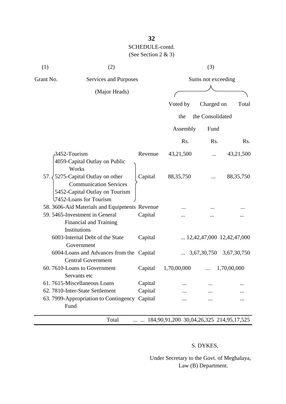| (1)       | (2)                                                                                                                       |         |                    | (3)                  |                                    |
|-----------|---------------------------------------------------------------------------------------------------------------------------|---------|--------------------|----------------------|------------------------------------|
| Grant No. | Services and Purposes                                                                                                     |         | Sums not exceeding |                      |                                    |
|           | (Major Heads)                                                                                                             |         |                    |                      |                                    |
|           |                                                                                                                           |         | Voted by           | Charged on           | Total                              |
|           |                                                                                                                           |         | the                | the Consolidated     |                                    |
|           |                                                                                                                           |         | Assembly           | Fund                 |                                    |
|           |                                                                                                                           |         | Rs.                | Rs.                  | Rs.                                |
|           | 3452-Tourism<br>4059-Capital Outlay on Public<br>Works                                                                    | Revenue | 43,21,500          |                      | 43,21,500                          |
| 57.3      | 5275-Capital Outlay on other<br><b>Communication Services</b><br>5452-Capital Outlay on Tourism<br>7452-Loans for Tourism | Capital | 88, 35, 750        |                      | 88, 35, 750                        |
|           | 58. 3606-Aid Materials and Equipments Revenue                                                                             |         |                    |                      |                                    |
|           | 59. 5465-Investment in General<br><b>Financial and Training</b><br>Institutions                                           | Capital |                    |                      |                                    |
|           | 6003-Internal Debt of the State<br>Government                                                                             | Capital |                    |                      | $\ldots$ 12,42,47,000 12,42,47,000 |
|           | 6004-Loans and Advances from the Capital<br><b>Central Government</b>                                                     |         |                    | $\ldots$ 3,67,30,750 | 3,67,30,750                        |
|           | 60.7610-Loans to Government<br>Servants etc                                                                               | Capital | 1,70,00,000        |                      | 1,70,00,000                        |
|           | 61.7615-Miscellaneous Loans                                                                                               | Capital |                    |                      |                                    |
|           | 62. 7810-Inter-State Settlement                                                                                           | Capital |                    |                      |                                    |
|           | 63. 7999-Appropriation to Contingency<br>Fund                                                                             | Capital |                    |                      |                                    |

Total ... ... 184,90,91,200 30,04,26,325 214,95,17,525

#### S. DYKES,

 Under Secretary to the Govt. of Meghalaya, Law (B) Department.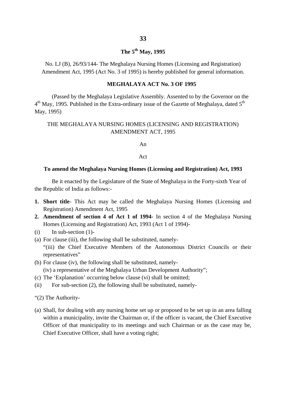#### **The 5th May, 1995**

No. LJ (B), 26/93/144- The Meghalaya Nursing Homes (Licensing and Registration) Amendment Act, 1995 (Act No. 3 of 1995) is hereby published for general information.

#### **MEGHALAYA ACT No. 3 OF 1995**

(Passed by the Meghalaya Legislative Assembly. Assented to by the Governor on the  $4<sup>th</sup>$  May, 1995. Published in the Extra-ordinary issue of the Gazette of Meghalaya, dated  $5<sup>th</sup>$ May, 1995)

#### THE MEGHALAYA NURSING HOMES (LICENSING AND REGISTRATION) AMENDMENT ACT, 1995

An

#### Act

#### **To amend the Meghalaya Nursing Homes (Licensing and Registration) Act, 1993**

Be it enacted by the Legislature of the State of Meghalaya in the Forty-sixth Year of the Republic of India as follows:-

- **1. Short title** This Act may be called the Meghalaya Nursing Homes (Licensing and Registration) Amendment Act, 1995
- **2. Amendment of section 4 of Act 1 of 1994** In section 4 of the Meghalaya Nursing Homes (Licensing and Registration) Act, 1993 (Act 1 of 1994)-
- $(i)$  In sub-section  $(1)$ -
- (a) For clause (iii), the following shall be substituted, namely- "(iii) the Chief Executive Members of the Autonomous District Councils or their representatives"
- (b) For clause (iv), the following shall be substituted, namely- (iv) a representative of the Meghalaya Urban Development Authority";
- (c) The 'Explanation' occurring below clause (vi) shall be omitted;
- (ii) For sub-section (2), the following shall be substituted, namely-
- "(2) The Authority-
- (a) Shall, for dealing with any nursing home set up or proposed to be set up in an area falling within a municipality, invite the Chairman or, if the officer is vacant, the Chief Executive Officer of that municipality to its meetings and such Chairman or as the case may be, Chief Executive Officer, shall have a voting right;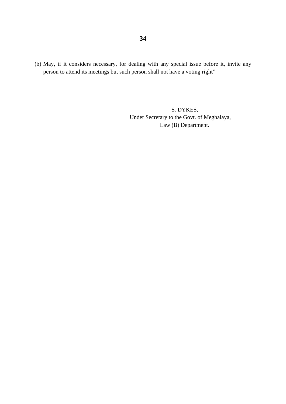(b) May, if it considers necessary, for dealing with any special issue before it, invite any person to attend its meetings but such person shall not have a voting right"

> S. DYKES, Under Secretary to the Govt. of Meghalaya, Law (B) Department.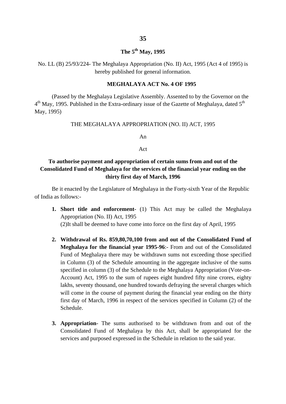### **The 5th May, 1995**

No. LL (B) 25/93/224- The Meghalaya Appropriation (No. II) Act, 1995 (Act 4 of 1995) is hereby published for general information.

#### **MEGHALAYA ACT No. 4 OF 1995**

(Passed by the Meghalaya Legislative Assembly. Assented to by the Governor on the  $4<sup>th</sup>$  May, 1995. Published in the Extra-ordinary issue of the Gazette of Meghalaya, dated  $5<sup>th</sup>$ May, 1995)

#### THE MEGHALAYA APPROPRIATION (NO. II) ACT, 1995

An

#### Act

### **To authorise payment and appropriation of certain sums from and out of the Consolidated Fund of Meghalaya for the services of the financial year ending on the thirty first day of March, 1996**

Be it enacted by the Legislature of Meghalaya in the Forty-sixth Year of the Republic of India as follows:-

- **1. Short title and enforcement** (1) This Act may be called the Meghalaya Appropriation (No. II) Act, 1995 (2)It shall be deemed to have come into force on the first day of April, 1995
- **2. Withdrawal of Rs. 859,80,70,100 from and out of the Consolidated Fund of Meghalaya for the financial year 1995-96**:- From and out of the Consolidated Fund of Meghalaya there may be withdrawn sums not exceeding those specified in Column (3) of the Schedule amounting in the aggregate inclusive of the sums specified in column (3) of the Schedule to the Meghalaya Appropriation (Vote-on-Account) Act, 1995 to the sum of rupees eight hundred fifty nine crores, eighty lakhs, seventy thousand, one hundred towards defraying the several charges which will come in the course of payment during the financial year ending on the thirty first day of March, 1996 in respect of the services specified in Column (2) of the Schedule.
- **3. Appropriation** The sums authorised to be withdrawn from and out of the Consolidated Fund of Meghalaya by this Act, shall be appropriated for the services and purposed expressed in the Schedule in relation to the said year.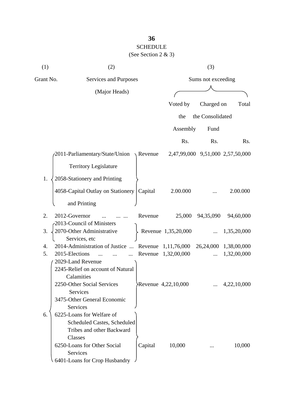## **36** SCHEDULE (See Section 2 & 3)

| (1)       | (2)                               |                  |                     | (3)                |                                  |
|-----------|-----------------------------------|------------------|---------------------|--------------------|----------------------------------|
| Grant No. | Services and Purposes             |                  |                     | Sums not exceeding |                                  |
|           | (Major Heads)                     |                  |                     |                    |                                  |
|           |                                   |                  | Voted by            | Charged on         | Total                            |
|           |                                   |                  | the                 | the Consolidated   |                                  |
|           |                                   |                  | Assembly            | Fund               |                                  |
|           |                                   |                  | Rs.                 | Rs.                | Rs.                              |
|           | 2011-Parliamentary/State/Union    | $\sqrt{$ Revenue |                     |                    | 2,47,99,000 9,51,000 2,57,50,000 |
|           | <b>Territory Legislature</b>      |                  |                     |                    |                                  |
| 1.        | 2058-Stationery and Printing      |                  |                     |                    |                                  |
|           | 4058-Capital Outlay on Stationery | Capital          | 2.00.000            |                    | 2.00.000                         |
|           | and Printing                      |                  |                     |                    |                                  |
| 2.        | 2012-Governor                     | Revenue          | 25,000              | 94,35,090          | 94,60,000                        |
|           | 2013-Council of Ministers         |                  |                     |                    |                                  |
| 3.        | 2070-Other Administrative         |                  | Revenue 1,35,20,000 |                    | 1,35,20,000                      |
|           | Services, etc                     |                  |                     |                    |                                  |
| 4.        | 2014-Administration of Justice    |                  | Revenue 1,11,76,000 |                    | 26,24,000 1,38,00,000            |
| 5.        | 2015-Elections                    | Revenue          | 1,32,00,000         |                    | 1,32,00,000                      |
|           | 2029-Land Revenue                 |                  |                     |                    |                                  |
|           | 2245-Relief on account of Natural |                  |                     |                    |                                  |
|           | Calamities                        |                  |                     |                    |                                  |
|           | 2250-Other Social Services        |                  | Revenue 4,22,10,000 |                    | 4,22,10,000                      |
|           | <b>Services</b>                   |                  |                     |                    |                                  |
|           | 3475-Other General Economic       |                  |                     |                    |                                  |
|           | Services                          |                  |                     |                    |                                  |
| 6.        | 6225-Loans for Welfare of         |                  |                     |                    |                                  |
|           | Scheduled Castes, Scheduled       |                  |                     |                    |                                  |
|           | Tribes and other Backward         |                  |                     |                    |                                  |
|           | Classes                           |                  |                     |                    |                                  |
|           | 6250-Loans for Other Social       | Capital          | 10,000              |                    | 10,000                           |
|           | <b>Services</b>                   |                  |                     |                    |                                  |
|           | 6401-Loans for Crop Husbandry     |                  |                     |                    |                                  |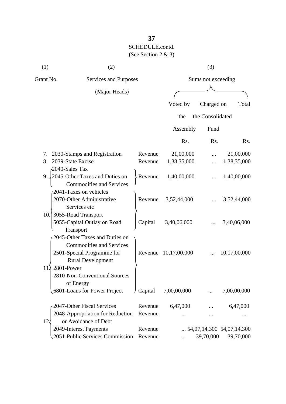| (1)       | (2)                                                                                                                                       |         |              | (3)                |                                    |
|-----------|-------------------------------------------------------------------------------------------------------------------------------------------|---------|--------------|--------------------|------------------------------------|
| Grant No. | Services and Purposes                                                                                                                     |         |              | Sums not exceeding |                                    |
|           | (Major Heads)                                                                                                                             |         |              |                    |                                    |
|           |                                                                                                                                           |         | Voted by     | Charged on         | Total                              |
|           |                                                                                                                                           |         | the          | the Consolidated   |                                    |
|           |                                                                                                                                           |         | Assembly     | Fund               |                                    |
|           |                                                                                                                                           |         | Rs.          | Rs.                | R <sub>s</sub> .                   |
| 7.        | 2030-Stamps and Registration                                                                                                              | Revenue | 21,00,000    |                    | 21,00,000                          |
| 8.        | 2039-State Excise                                                                                                                         | Revenue | 1,38,35,000  |                    | 1,38,35,000                        |
|           | 2040-Sales Tax<br>9. $\sqrt{2045}$ -Other Taxes and Duties on<br><b>Commodities and Services</b>                                          | Revenue | 1,40,00,000  |                    | 1,40,00,000                        |
|           | 2041-Taxes on vehicles<br>2070-Other Administrative<br>Services etc                                                                       | Revenue | 3,52,44,000  |                    | 3,52,44,000                        |
| 10.1      | 3055-Road Transport<br>5055-Capital Outlay on Road<br>Transport                                                                           | Capital | 3,40,06,000  |                    | 3,40,06,000                        |
| 11.       | 2045-Other Taxes and Duties on<br><b>Commodities and Services</b><br>2501-Special Programme for<br><b>Rural Development</b><br>2801-Power | Revenue | 10,17,00,000 |                    | 10,17,00,000                       |
|           | 2810-Non-Conventional Sources<br>of Energy<br>6801-Loans for Power Project                                                                | Capital | 7,00,00,000  |                    | 7,00,00,000                        |
|           | 2047-Other Fiscal Services                                                                                                                | Revenue | 6,47,000     |                    | 6,47,000                           |
| $12\zeta$ | 2048-Appropriation for Reduction<br>or Avoidance of Debt                                                                                  | Revenue |              |                    |                                    |
|           | 2049-Interest Payments                                                                                                                    | Revenue |              |                    | $\ldots$ 54,07,14,300 54,07,14,300 |
|           | .2051-Public Services Commission                                                                                                          | Revenue |              | 39,70,000          | 39,70,000                          |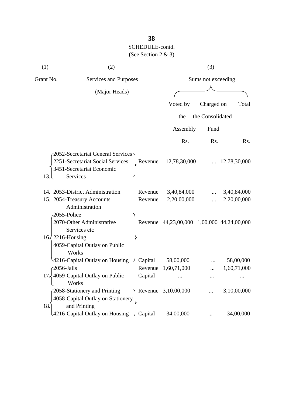| (1)       | (2)                                                                                                            |         |                                            | (3)                |              |
|-----------|----------------------------------------------------------------------------------------------------------------|---------|--------------------------------------------|--------------------|--------------|
| Grant No. | Services and Purposes                                                                                          |         |                                            | Sums not exceeding |              |
|           | (Major Heads)                                                                                                  |         |                                            |                    |              |
|           |                                                                                                                |         | Voted by                                   | Charged on         | Total        |
|           |                                                                                                                |         | the                                        | the Consolidated   |              |
|           |                                                                                                                |         |                                            |                    |              |
|           |                                                                                                                |         | Assembly                                   | Fund               |              |
|           |                                                                                                                |         | Rs.                                        | Rs.                | Rs.          |
| 13.       | 2052-Secretariat General Services<br>2251-Secretariat Social Services<br>3451-Secretariat Economic<br>Services | Revenue | 12,78,30,000                               |                    | 12,78,30,000 |
|           | 14. 2053-District Administration                                                                               | Revenue | 3,40,84,000                                |                    | 3,40,84,000  |
|           | 15. 2054-Treasury Accounts                                                                                     | Revenue | 2,20,00,000                                |                    | 2,20,00,000  |
|           | Administration<br>2055-Police<br>2070-Other Administrative<br>Services etc                                     |         | Revenue 44,23,00,000 1,00,000 44,24,00,000 |                    |              |
|           | $16\sqrt{2216}$ -Housing<br>4059-Capital Outlay on Public<br>Works                                             |         |                                            |                    |              |
|           | 4216-Capital Outlay on Housing                                                                                 | Capital | 58,00,000                                  |                    | 58,00,000    |
|           | $-2056$ -Jails                                                                                                 | Revenue | 1,60,71,000                                |                    | 1,60,71,000  |
|           | 17. 4059-Capital Outlay on Public<br>Works                                                                     | Capital |                                            |                    |              |
| 18.       | 2058-Stationery and Printing<br>4058-Capital Outlay on Stationery<br>and Printing                              |         | Revenue 3,10,00,000                        |                    | 3,10,00,000  |
|           | 4216-Capital Outlay on Housing                                                                                 | Capital | 34,00,000                                  |                    | 34,00,000    |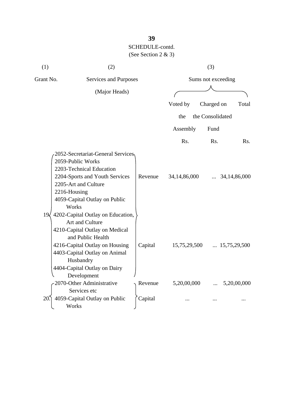| (1)             | (2)                                                                                                                                                                                                                                          |         |                 | (3)                |                       |
|-----------------|----------------------------------------------------------------------------------------------------------------------------------------------------------------------------------------------------------------------------------------------|---------|-----------------|--------------------|-----------------------|
| Grant No.       | Services and Purposes                                                                                                                                                                                                                        |         |                 | Sums not exceeding |                       |
|                 | (Major Heads)                                                                                                                                                                                                                                |         |                 |                    |                       |
|                 |                                                                                                                                                                                                                                              |         |                 |                    |                       |
|                 |                                                                                                                                                                                                                                              |         | Voted by        | Charged on         | Total                 |
|                 |                                                                                                                                                                                                                                              |         | the             | the Consolidated   |                       |
|                 |                                                                                                                                                                                                                                              |         | Assembly        | Fund               |                       |
|                 |                                                                                                                                                                                                                                              |         | Rs.             | Rs.                | Rs.                   |
| 19 <sub>l</sub> | 2052-Secretariat-General Services,<br>2059-Public Works<br>2203-Technical Education<br>2204-Sports and Youth Services<br>2205-Art and Culture<br>2216-Housing<br>4059-Capital Outlay on Public<br>Works<br>4202-Capital Outlay on Education, | Revenue | 34, 14, 86, 000 |                    | 34, 14, 86, 000       |
|                 | Art and Culture<br>4210-Capital Outlay on Medical<br>and Public Health<br>4216-Capital Outlay on Housing<br>4403-Capital Outlay on Animal<br>Husbandry<br>4404-Capital Outlay on Dairy<br>Development                                        | Capital | 15,75,29,500    |                    | $\ldots$ 15,75,29,500 |
|                 | 2070-Other Administrative                                                                                                                                                                                                                    | Revenue | 5,20,00,000     |                    | 5,20,00,000           |
| 20              | Services etc<br>4059-Capital Outlay on Public<br>Works                                                                                                                                                                                       | Capital |                 |                    |                       |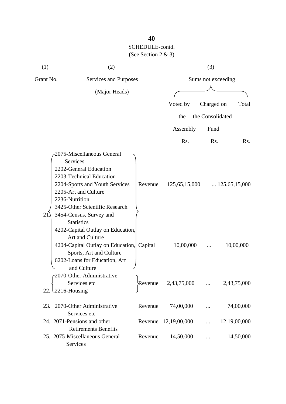| (1)       | (2)                                                                                                                                                                                                                                                               |         |                      | (3)                |                        |
|-----------|-------------------------------------------------------------------------------------------------------------------------------------------------------------------------------------------------------------------------------------------------------------------|---------|----------------------|--------------------|------------------------|
| Grant No. | Services and Purposes                                                                                                                                                                                                                                             |         |                      | Sums not exceeding |                        |
|           | (Major Heads)                                                                                                                                                                                                                                                     |         |                      |                    |                        |
|           |                                                                                                                                                                                                                                                                   |         | Voted by             | Charged on         | Total                  |
|           |                                                                                                                                                                                                                                                                   |         | the                  | the Consolidated   |                        |
|           |                                                                                                                                                                                                                                                                   |         | Assembly             | Fund               |                        |
|           |                                                                                                                                                                                                                                                                   |         | Rs.                  | Rs.                | Rs.                    |
| 21.       | 2075-Miscellaneous General<br><b>Services</b><br>2202-General Education<br>2203-Technical Education<br>2204-Sports and Youth Services<br>2205-Art and Culture<br>2236-Nutrition<br>3425-Other Scientific Research<br>3454-Census, Survey and<br><b>Statistics</b> | Revenue | 125,65,15,000        |                    | $\ldots$ 125,65,15,000 |
|           | 4202-Capital Outlay on Education,<br>Art and Culture<br>4204-Capital Outlay on Education,<br>Sports, Art and Culture<br>6202-Loans for Education, Art<br>and Culture                                                                                              | Capital | 10,00,000            |                    | 10,00,000              |
|           | 2070-Other Administrative<br>Services etc<br>22. $\text{\textbackslash}2216$ -Housing                                                                                                                                                                             | Revenue | 2,43,75,000          |                    | 2,43,75,000            |
|           | 23. 2070-Other Administrative<br>Services etc                                                                                                                                                                                                                     | Revenue | 74,00,000            |                    | 74,00,000              |
|           | 24. 2071-Pensions and other<br><b>Retirements Benefits</b>                                                                                                                                                                                                        |         | Revenue 12,19,00,000 |                    | 12,19,00,000           |
|           | 25. 2075-Miscellaneous General<br>Services                                                                                                                                                                                                                        | Revenue | 14,50,000            |                    | 14,50,000              |

# **40**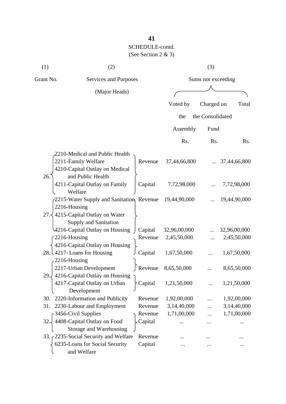| (1)       | (2)                                                                                                          |         |              | (3)                |              |
|-----------|--------------------------------------------------------------------------------------------------------------|---------|--------------|--------------------|--------------|
| Grant No. | Services and Purposes                                                                                        |         |              | Sums not exceeding |              |
|           | (Major Heads)                                                                                                |         |              |                    |              |
|           |                                                                                                              |         | Voted by     | Charged on         | Total        |
|           |                                                                                                              |         | the          | the Consolidated   |              |
|           |                                                                                                              |         |              |                    |              |
|           |                                                                                                              |         | Assembly     | Fund               |              |
|           |                                                                                                              |         | Rs.          | Rs.                | Rs.          |
| 26.       | 2210-Medical and Public Health<br>2211-Family Welfare<br>4210-Capital Outlay on Medical<br>and Public Health | Revenue | 37,44,66,800 |                    | 37,44,66,800 |
|           | 4211-Capital Outlay on Family                                                                                | Capital | 7,72,98,000  |                    | 7,72,98,000  |
|           | Welfare<br>2215-Water Supply and Sanitation, Revenue<br>2216-Housing                                         |         | 19,44,90,000 |                    | 19,44,90,000 |
|           | 27. $\leq$ 4215-Capital Outlay on Water<br>Supply and Sanitation                                             |         |              |                    |              |
|           | 4216-Capital Outlay on Housing                                                                               | Capital | 32,96,00,000 |                    | 32,96,00,000 |
|           | 2216-Housing<br>4216-Capital Outlay on Housing                                                               | Revenue | 2,45,50,000  |                    | 2,45,50,000  |
|           | 28. $\frac{1}{2217}$ - Loans for Housing<br>2216-Housing                                                     | Capital | 1,67,50,000  |                    | 1,67,50,000  |
|           | 2217-Urban Development                                                                                       | Revenue | 8,65,50,000  |                    | 8,65,50,000  |
| 29.       | 4216-Capital Outlay on Housing<br>4217-Capital Outlay on Urban<br>Development                                | Capital | 1,21,50,000  |                    | 1,21,50,000  |
| 30.       | 2220-Information and Publicity                                                                               | Revenue | 1,92,00,000  |                    | 1,92,00,000  |
| 31.       | 2230-Labour and Employment                                                                                   | Revenue | 3,14,40,000  |                    | 3,14,40,000  |
|           | 3456-Civil Supplies                                                                                          | Revenue | 1,71,00,000  |                    | 1,71,00,000  |
| 32        | 4408-Capital Outlay on Food<br>Storage and Warehousing                                                       | Capital |              |                    |              |
|           | 33. 2235-Social Security and Welfare                                                                         | Revenue |              |                    |              |
|           | 6235-Loans for Social Security<br>and Welfare                                                                | Capital |              |                    |              |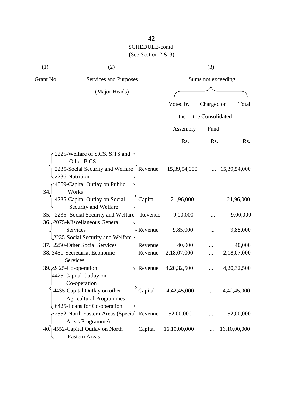| (1)       | (2)                                                                                           |         |              | (3)                |                  |
|-----------|-----------------------------------------------------------------------------------------------|---------|--------------|--------------------|------------------|
| Grant No. | Services and Purposes                                                                         |         |              | Sums not exceeding |                  |
|           | (Major Heads)                                                                                 |         |              |                    |                  |
|           |                                                                                               |         | Voted by     | Charged on         | Total            |
|           |                                                                                               |         | the          | the Consolidated   |                  |
|           |                                                                                               |         | Assembly     | Fund               |                  |
|           |                                                                                               |         | Rs.          | Rs.                | R <sub>s</sub> . |
|           | 2225-Welfare of S.CS, S.TS and                                                                |         |              |                    |                  |
|           | Other B.CS<br>2235-Social Security and Welfare<br>2236-Nutrition                              | Revenue | 15,39,54,000 |                    | 15,39,54,000     |
| 34.       | 4059-Capital Outlay on Public<br>Works                                                        |         |              |                    |                  |
|           | 4235-Capital Outlay on Social<br>Security and Welfare                                         | Capital | 21,96,000    |                    | 21,96,000        |
|           | 35. 2235- Social Security and Welfare<br>36. 2075-Miscellaneous General                       | Revenue | 9,00,000     |                    | 9,00,000         |
|           | Services<br>2235-Social Security and Welfare                                                  | Revenue | 9,85,000     |                    | 9,85,000         |
|           | 37. 2250-Other Social Services                                                                | Revenue | 40,000       |                    | 40,000           |
|           | 38. 3451-Secretariat Economic<br>Services                                                     | Revenue | 2,18,07,000  |                    | 2,18,07,000      |
|           | 39. 2425-Co-operation<br>4425-Capital Outlay on<br>Co-operation                               | Revenue | 4,20,32,500  |                    | 4,20,32,500      |
|           | 4435-Capital Outlay on other<br><b>Agricultural Programmes</b><br>6425-Loans for Co-operation | Capital | 4,42,45,000  |                    | 4,42,45,000      |
|           | 2552-North Eastern Areas (Special Revenue<br>Areas Programme)                                 |         | 52,00,000    |                    | 52,00,000        |
|           | 40.] 4552-Capital Outlay on North<br><b>Eastern Areas</b>                                     | Capital | 16,10,00,000 |                    | 16,10,00,000     |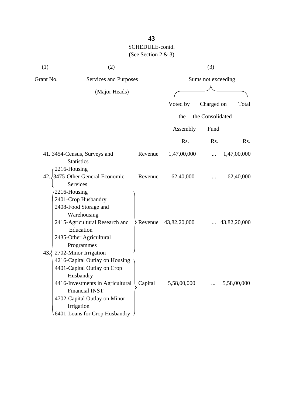| (1)       | (2)                                                                                                                                                                                                                                                                       |              |             | (3)                |              |
|-----------|---------------------------------------------------------------------------------------------------------------------------------------------------------------------------------------------------------------------------------------------------------------------------|--------------|-------------|--------------------|--------------|
| Grant No. | <b>Services and Purposes</b>                                                                                                                                                                                                                                              |              |             | Sums not exceeding |              |
|           | (Major Heads)                                                                                                                                                                                                                                                             |              |             |                    |              |
|           |                                                                                                                                                                                                                                                                           | Voted by     |             | Charged on         | Total        |
|           |                                                                                                                                                                                                                                                                           |              |             |                    |              |
|           |                                                                                                                                                                                                                                                                           |              | the         | the Consolidated   |              |
|           |                                                                                                                                                                                                                                                                           |              | Assembly    | Fund               |              |
|           |                                                                                                                                                                                                                                                                           |              | Rs.         | Rs.                | Rs.          |
|           | 41.3454-Census, Surveys and<br>Revenue<br><b>Statistics</b><br>2216-Housing                                                                                                                                                                                               |              | 1,47,00,000 |                    | 1,47,00,000  |
| 42.       | 3475-Other General Economic<br>Revenue<br>Services                                                                                                                                                                                                                        |              | 62,40,000   |                    | 62,40,000    |
|           | 2216-Housing<br>2401-Crop Husbandry<br>2408-Food Storage and<br>Warehousing<br>2415-Agricultural Research and<br>Revenue<br>Education<br>2435-Other Agricultural<br>Programmes                                                                                            | 43,82,20,000 |             |                    | 43,82,20,000 |
| 43.       | 2702-Minor Irrigation<br>4216-Capital Outlay on Housing<br>4401-Capital Outlay on Crop<br>Husbandry<br>4416-Investments in Agricultural<br>Capital<br><b>Financial INST</b><br>4702-Capital Outlay on Minor<br>Irrigation<br>$(6401$ -Loans for Crop Husbandry $\sqrt{ }$ |              | 5,58,00,000 |                    | 5,58,00,000  |

# **43**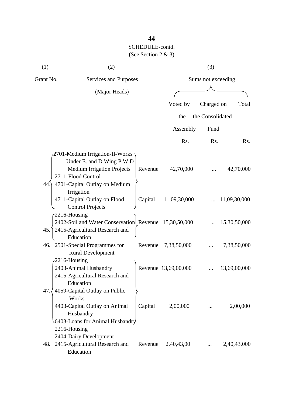| (1)       | (2)                                                                                                                                                      |         |                      | (3)                |              |
|-----------|----------------------------------------------------------------------------------------------------------------------------------------------------------|---------|----------------------|--------------------|--------------|
| Grant No. | Services and Purposes                                                                                                                                    |         |                      | Sums not exceeding |              |
|           | (Major Heads)                                                                                                                                            |         |                      |                    |              |
|           |                                                                                                                                                          |         | Voted by             | Charged on         | Total        |
|           |                                                                                                                                                          |         | the                  | the Consolidated   |              |
|           |                                                                                                                                                          |         |                      |                    |              |
|           |                                                                                                                                                          |         | Assembly             | Fund               |              |
|           |                                                                                                                                                          |         | Rs.                  | Rs.                | Rs.          |
| 44.       | 2701-Medium Irrigation-II-Works<br>Under E. and D Wing P.W.D<br><b>Medium Irrigation Projects</b><br>2711-Flood Control<br>4701-Capital Outlay on Medium | Revenue | 42,70,000            |                    | 42,70,000    |
|           | Irrigation<br>4711-Capital Outlay on Flood<br><b>Control Projects</b>                                                                                    | Capital | 11,09,30,000         |                    | 11,09,30,000 |
|           | $-2216$ -Housing<br>2402-Soil and Water Conservation Revenue 15,30,50,000<br>45. 2415-Agricultural Research and<br>Education                             |         |                      |                    | 15,30,50,000 |
|           | 46. 2501-Special Programmes for<br><b>Rural Development</b>                                                                                              | Revenue | 7,38,50,000          |                    | 7,38,50,000  |
|           | 2216-Housing<br>2403-Animal Husbandry<br>2415-Agricultural Research and<br>Education                                                                     |         | Revenue 13,69,00,000 |                    | 13,69,00,000 |
| 47.       | 4059-Capital Outlay on Public<br>Works<br>4403-Capital Outlay on Animal<br>Husbandry<br>6403-Loans for Animal Husbandry<br>2216-Housing                  | Capital | 2,00,000             |                    | 2,00,000     |
|           | 2404-Dairy Development<br>48. 2415-Agricultural Research and<br>Education                                                                                | Revenue | 2,40,43,00           |                    | 2,40,43,000  |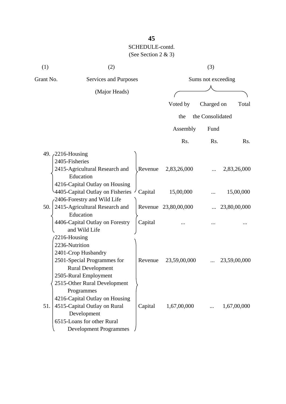| (1)       | (2)                                                             |         |                      | (3)                |              |
|-----------|-----------------------------------------------------------------|---------|----------------------|--------------------|--------------|
| Grant No. | Services and Purposes                                           |         |                      | Sums not exceeding |              |
|           | (Major Heads)                                                   |         |                      |                    |              |
|           |                                                                 |         | Voted by             | Charged on         | Total        |
|           |                                                                 |         | the                  | the Consolidated   |              |
|           |                                                                 |         |                      |                    |              |
|           |                                                                 |         | Assembly             | Fund               |              |
|           |                                                                 |         | Rs.                  | Rs.                | Rs.          |
|           | 49. 2216-Housing                                                |         |                      |                    |              |
|           | 2405-Fisheries                                                  |         |                      |                    |              |
|           | 2415-Agricultural Research and                                  | Revenue | 2,83,26,000          |                    | 2,83,26,000  |
|           | Education                                                       |         |                      |                    |              |
|           | 4216-Capital Outlay on Housing                                  |         |                      |                    |              |
|           | 4405-Capital Outlay on Fisheries<br>2406-Forestry and Wild Life | Capital | 15,00,000            |                    | 15,00,000    |
| 50.       | 2415-Agricultural Research and                                  |         | Revenue 23,80,00,000 |                    | 23,80,00,000 |
|           | Education                                                       |         |                      |                    |              |
|           | 4406-Capital Outlay on Forestry                                 | Capital |                      |                    |              |
|           | and Wild Life                                                   |         |                      |                    |              |
|           | 2216-Housing                                                    |         |                      |                    |              |
|           | 2236-Nutrition                                                  |         |                      |                    |              |
|           | 2401-Crop Husbandry                                             |         |                      |                    |              |
|           | 2501-Special Programmes for                                     | Revenue | 23,59,00,000         |                    | 23,59,00,000 |
|           | <b>Rural Development</b>                                        |         |                      |                    |              |
|           | 2505-Rural Employment                                           |         |                      |                    |              |
|           | 2515-Other Rural Development<br>Programmes                      |         |                      |                    |              |
|           | 4216-Capital Outlay on Housing                                  |         |                      |                    |              |
| 51.       | 4515-Capital Outlay on Rural                                    | Capital | 1,67,00,000          | $\cdots$           | 1,67,00,000  |
|           | Development                                                     |         |                      |                    |              |
|           | 6515-Loans for other Rural                                      |         |                      |                    |              |
|           | <b>Development Programmes</b>                                   |         |                      |                    |              |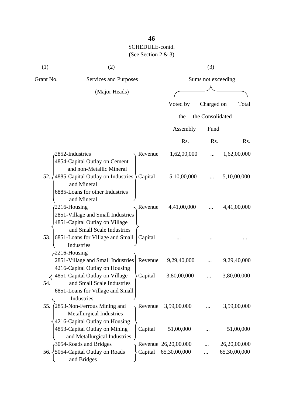| (1)              | (2)                                                                                                                          |                      | (3)                |              |
|------------------|------------------------------------------------------------------------------------------------------------------------------|----------------------|--------------------|--------------|
| Grant No.        | Services and Purposes                                                                                                        |                      | Sums not exceeding |              |
|                  | (Major Heads)                                                                                                                |                      |                    |              |
|                  |                                                                                                                              | Voted by             | Charged on         | Total        |
|                  |                                                                                                                              | the                  | the Consolidated   |              |
|                  |                                                                                                                              |                      |                    |              |
|                  |                                                                                                                              | Assembly             | Fund               |              |
|                  |                                                                                                                              | Rs.                  | Rs.                | Rs.          |
|                  | 2852-Industries<br>Revenue<br>4854-Capital Outlay on Cement<br>and non-Metallic Mineral                                      | 1,62,00,000          |                    | 1,62,00,000  |
| 52.              | 4885-Capital Outlay on Industries > Capital<br>and Mineral<br>6885-Loans for other Industries<br>and Mineral                 | 5,10,00,000          |                    | 5,10,00,000  |
|                  | 2216-Housing<br>Revenue<br>2851-Village and Small Industries<br>4851-Capital Outlay on Village<br>and Small Scale Industries | 4,41,00,000          |                    | 4,41,00,000  |
| 53.              | 6851-Loans for Village and Small<br>Capital<br>Industries<br>2216-Housing                                                    |                      |                    |              |
|                  | 2851-Village and Small Industries   Revenue<br>4216-Capital Outlay on Housing                                                | 9,29,40,000          |                    | 9,29,40,000  |
| 54.              | 4851-Capital Outlay on Village<br>Capital<br>and Small Scale Industries<br>6851-Loans for Village and Small<br>Industries    | 3,80,00,000          |                    | 3,80,00,000  |
| 55.              | (2853-Non-Ferrous Mining and<br>Revenue<br>Metallurgical Industries<br>4216-Capital Outlay on Housing                        | 3,59,00,000          |                    | 3,59,00,000  |
|                  | 4853-Capital Outlay on Mining<br>Capital<br>and Metallurgical Industries                                                     | 51,00,000            |                    | 51,00,000    |
|                  | 3054-Roads and Bridges                                                                                                       | Revenue 26,20,00,000 |                    | 26,20,00,000 |
| 56. $\downarrow$ | 5054-Capital Outlay on Roads<br>Capital<br>and Bridges                                                                       | 65,30,00,000         |                    | 65,30,00,000 |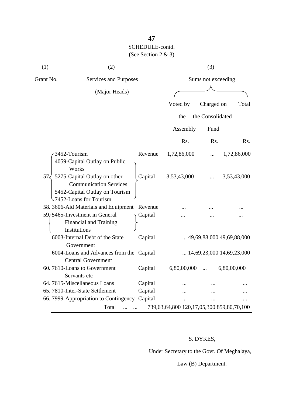| (1)          | (2)                                                                                                                        |         |             | (3)                |                                    |
|--------------|----------------------------------------------------------------------------------------------------------------------------|---------|-------------|--------------------|------------------------------------|
| Grant No.    | Services and Purposes                                                                                                      |         |             | Sums not exceeding |                                    |
|              | (Major Heads)                                                                                                              |         |             |                    |                                    |
|              |                                                                                                                            |         | Voted by    | Charged on         | Total                              |
|              |                                                                                                                            |         | the         | the Consolidated   |                                    |
|              |                                                                                                                            |         | Assembly    | Fund               |                                    |
|              |                                                                                                                            |         | Rs.         | Rs.                | Rs.                                |
| 3452-Tourism |                                                                                                                            | Revenue | 1,72,86,000 |                    | 1,72,86,000                        |
|              | 4059-Capital Outlay on Public<br>Works                                                                                     |         |             |                    |                                    |
| 57<          | 5275-Capital Outlay on other<br><b>Communication Services</b><br>5452-Capital Outlay on Tourism<br>-7452-Loans for Tourism | Capital | 3,53,43,000 |                    | 3,53,43,000                        |
|              | 58. 3606-Aid Materials and Equipment                                                                                       | Revenue |             |                    |                                    |
|              | 59, 5465-Investment in General<br>Financial and Training<br>Institutions                                                   | Capital |             |                    |                                    |
|              | 6003-Internal Debt of the State<br>Government                                                                              | Capital |             |                    | $\ldots$ 49,69,88,000 49,69,88,000 |
|              | 6004-Loans and Advances from the Capital<br><b>Central Government</b>                                                      |         |             |                    | $\ldots$ 14,69,23,000 14,69,23,000 |
|              | 60.7610-Loans to Government<br>Servants etc                                                                                | Capital | 6,80,00,000 | $\dddotsc$         | 6,80,00,000                        |
|              | 64. 7615-Miscellaneous Loans                                                                                               | Capital |             |                    |                                    |
|              | 65. 7810-Inter-State Settlement                                                                                            | Capital |             |                    |                                    |
|              | 66. 7999-Appropriation to Contingency Capital                                                                              |         |             |                    |                                    |

### S. DYKES,

Under Secretary to the Govt. Of Meghalaya,

Law (B) Department.

## **47**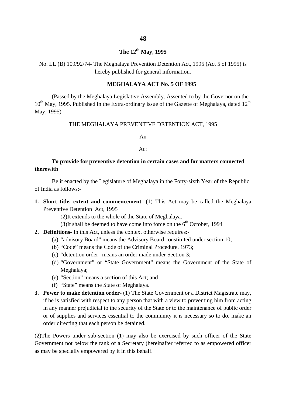# **The 12th May, 1995**

No. LL (B) 109/92/74- The Meghalaya Prevention Detention Act, 1995 (Act 5 of 1995) is hereby published for general information.

#### **MEGHALAYA ACT No. 5 OF 1995**

(Passed by the Meghalaya Legislative Assembly. Assented to by the Governor on the  $10^{th}$  May, 1995. Published in the Extra-ordinary issue of the Gazette of Meghalaya, dated  $12^{th}$ May, 1995)

#### THE MEGHALAYA PREVENTIVE DETENTION ACT, 1995

An

#### Act

### **To provide for preventive detention in certain cases and for matters connected therewith**

Be it enacted by the Legislature of Meghalaya in the Forty-sixth Year of the Republic of India as follows:-

**1. Short title, extent and commencement**- (1) This Act may be called the Meghalaya Preventive Detention Act, 1995

(2)It extends to the whole of the State of Meghalaya.

- (3)It shall be deemed to have come into force on the  $6<sup>th</sup>$  October, 1994
- **2. Definitions** In this Act, unless the context otherwise requires:-
	- (a) "advisory Board" means the Advisory Board constituted under section 10;
	- (b) "Code" means the Code of the Criminal Procedure, 1973;
	- (c) "detention order" means an order made under Section 3;
	- (d) "Government" or "State Government" means the Government of the State of Meghalaya;
	- (e) "Section" means a section of this Act; and
	- (f) "State" means the State of Meghalaya.
- **3. Power to make detention order** (1) The State Government or a District Magistrate may, if he is satisfied with respect to any person that with a view to preventing him from acting in any manner prejudicial to the security of the State or to the maintenance of public order or of supplies and services essential to the community it is necessary so to do, make an order directing that each person be detained.

(2)The Powers under sub-section (1) may also be exercised by such officer of the State Government not below the rank of a Secretary (hereinafter referred to as empowered officer as may be specially empowered by it in this behalf.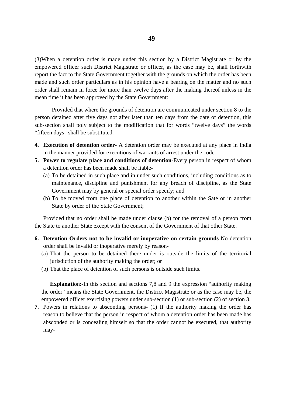(3)When a detention order is made under this section by a District Magistrate or by the empowered officer such District Magistrate or officer, as the case may be, shall forthwith report the fact to the State Government together with the grounds on which the order has been made and such order particulars as in his opinion have a bearing on the matter and no such order shall remain in force for more than twelve days after the making thereof unless in the mean time it has been approved by the State Government:

Provided that where the grounds of detention are communicated under section 8 to the person detained after five days not after later than ten days from the date of detention, this sub-section shall poly subject to the modification that for words "twelve days" the words "fifteen days" shall be substituted.

- **4. Execution of detention order** A detention order may be executed at any place in India in the manner provided for executions of warrants of arrest under the code.
- **5. Power to regulate place and conditions of detention**-Every person in respect of whom a detention order has been made shall be liable-
	- (a) To be detained in such place and in under such conditions, including conditions as to maintenance, discipline and punishment for any breach of discipline, as the State Government may by general or special order specify; and
	- (b) To be moved from one place of detention to another within the Sate or in another State by order of the State Government;

Provided that no order shall be made under clause (b) for the removal of a person from the State to another State except with the consent of the Government of that other State.

- **6. Detention Orders not to be invalid or inoperative on certain grounds**-No detention order shall be invalid or inoperative merely by reason-
	- (a) That the person to be detained there under is outside the limits of the territorial jurisdiction of the authority making the order; or
	- (b) That the place of detention of such persons is outside such limits.

**Explanatio**n:-In this section and sections 7,8 and 9 the expression "authority making the order" means the State Government, the District Magistrate or as the case may be, the empowered officer exercising powers under sub-section (1) or sub-section (2) of section 3.

**7.** Powers in relations to absconding persons- (1) If the authority making the order has reason to believe that the person in respect of whom a detention order has been made has absconded or is concealing himself so that the order cannot be executed, that authority may-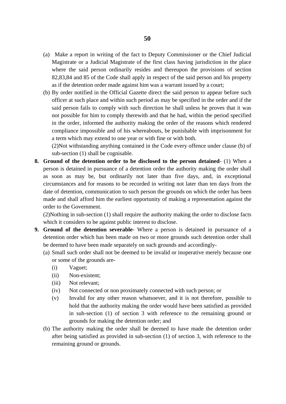- (a) Make a report in writing of the fact to Deputy Commissioner or the Chief Judicial Magistrate or a Judicial Magistrate of the first class having jurisdiction in the place where the said person ordinarily resides and thereupon the provisions of section 82,83,84 and 85 of the Code shall apply in respect of the said person and his property as if the detention order made against him was a warrant issued by a court;
- (b) By order notified in the Official Gazette direct the said person to appear before such officer at such place and within such period as may be specified in the order and if the said person fails to comply with such direction he shall unless he proves that it was not possible for him to comply therewith and that he had, within the period specified in the order, informed the authority making the order of the reasons which rendered compliance impossible and of his whereabouts, be punishable with imprisonment for a term which may extend to one year or with fine or with both.

(2)Not withstanding anything contained in the Code every offence under clause (b) of sub-section (1) shall be cognisable.

**8. Ground of the detention order to be disclosed to the person detained**- (1) When a person is detained in pursuance of a detention order the authority making the order shall as soon as may be, but ordinarily not later than five days, and, in exceptional circumstances and for reasons to be recorded in writing not later than ten days from the date of detention, communication to such person the grounds on which the order has been made and shall afford him the earliest opportunity of making a representation against the order to the Government.

(2)Nothing in sub-section (1) shall require the authority making the order to disclose facts which it considers to be against public interest to disclose.

- **9. Ground of the detention severable-** Where a person is detained in pursuance of a detention order which has been made on two or more grounds such detention order shall be deemed to have been made separately on such grounds and accordingly-
	- (a) Small such order shall not be deemed to be invalid or inoperative merely because one or some of the grounds are-
		- (i) Vaguet;
		- (ii) Non-existent;
		- (iii) Not relevant;
		- (iv) Not connected or non proximately connected with such person; or
		- (v) Invalid for any other reason whatsoever, and it is not therefore, possible to hold that the authority making the order would have been satisfied as provided in sub-section (1) of section 3 with reference to the remaining ground or grounds for making the detention order; and
	- (b) The authority making the order shall be deemed to have made the detention order after being satisfied as provided in sub-section (1) of section 3, with reference to the remaining ground or grounds.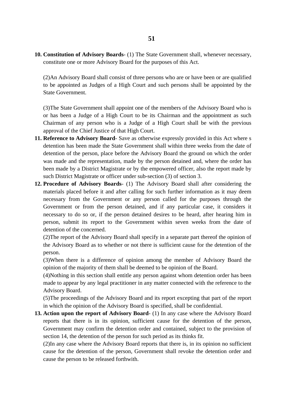**10. Constitution of Advisory Boards**- (1) The State Government shall, whenever necessary, constitute one or more Advisory Board for the purposes of this Act.

(2)An Advisory Board shall consist of three persons who are or have been or are qualified to be appointed as Judges of a High Court and such persons shall be appointed by the State Government.

(3)The State Government shall appoint one of the members of the Advisory Board who is or has been a Judge of a High Court to be its Chairman and the appointment as such Chairman of any person who is a Judge of a High Court shall be with the previous approval of the Chief Justice of that High Court.

- **11. Reference to Advisory Board** Save as otherwise expressly provided in this Act where s detention has been made the State Government shall within three weeks from the date of detention of the person, place before the Advisory Board the ground on which the order was made and the representation, made by the person detained and, where the order has been made by a District Magistrate or by the empowered officer, also the report made by such District Magistrate or officer under sub-section (3) of section 3.
- **12. Procedure of Advisory Boards** (1) The Advisory Board shall after considering the materials placed before it and after calling for such further information as it may deem necessary from the Government or any person called for the purposes through the Government or from the person detained, and if any particular case, it considers it necessary to do so or, if the person detained desires to be heard, after hearing him in person, submit its report to the Government within seven weeks from the date of detention of the concerned.

(2)The report of the Advisory Board shall specify in a separate part thereof the opinion of the Advisory Board as to whether or not there is sufficient cause for the detention of the person.

(3)When there is a difference of opinion among the member of Advisory Board the opinion of the majority of them shall be deemed to be opinion of the Board.

(4)Nothing in this section shall entitle any person against whom detention order has been made to appear by any legal practitioner in any matter connected with the reference to the Advisory Board.

(5)The proceedings of the Advisory Board and its report excepting that part of the report in which the opinion of the Advisory Board is specified, shall be confidential.

**13. Action upon the report of Advisory Board**- (1) In any case where the Advisory Board reports that there is in its opinion, sufficient cause for the detention of the person, Government may confirm the detention order and contained, subject to the provision of section 14, the detention of the person for such period as its thinks fit.

(2)In any case where the Advisory Board reports that there is, in its opinion no sufficient cause for the detention of the person, Government shall revoke the detention order and cause the person to be released forthwith.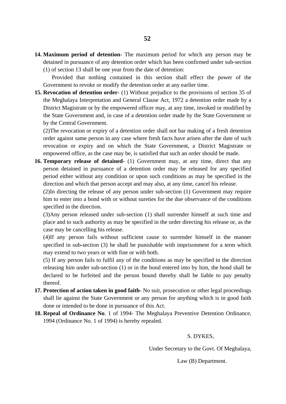- (1) of section 13 shall be one year from the date of detention: Provided that nothing contained in this section shall effect the power of the Government to revoke or modify the detention order at any earlier time.
- **15. Revocation of detention order** (1) Without prejudice to the provisions of section 35 of the Meghalaya Interpretation and General Clause Act, 1972 a detention order made by a District Magistrate or by the empowered officer may, at any time, invoked or modified by the State Government and, in case of a detention order made by the State Government or by the Central Government.

(2)The revocation or expiry of a detention order shall not bar making of a fresh detention order against same person in any case where fresh facts have arisen after the date of such revocation or expiry and on which the State Government, a District Magistrate or empowered office, as the case may be, is satisfied that such an order should be made.

**16. Temporary release of detained**- (1) Government may, at any time, direct that any person detained in pursuance of a detention order may be released for any specified period either without any condition or upon such conditions as may be specified in the direction and which that person accept and may also, at any time, cancel his release.

(2)In directing the release of any person under sub-section (1) Government may require him to enter into a bond with or without sureties for the due observance of the conditions specified in the direction.

(3)Any person released under sub-section (1) shall surrender himself at such time and place and to such authority as may be specified in the order directing his release or, as the case may be cancelling his release.

(4)If any person fails without sufficient cause to surrender himself in the manner specified in sub-section (3) he shall be punishable with imprisonment for a term which may extend to two years or with fine or with both.

(5) If any person fails to fulfil any of the conditions as may be specified in the direction releasing him under sub-section (1) or in the bond entered into by him, the bond shall be declared to be forfeited and the person bound thereby shall be liable to pay penalty thereof.

- **17. Protection of action taken in good faith** No suit, prosecution or other legal proceedings shall lie against the State Government or any person for anything which is in good faith done or intended to be done in pursuance of this Act.
- **18. Repeal of Ordinance No**. 1 of 1994- The Meghalaya Preventive Detention Ordinance, 1994 (Ordinance No. 1 of 1994) is hereby repealed.

S. DYKES,

Under Secretary to the Govt. Of Meghalaya,

Law (B) Department.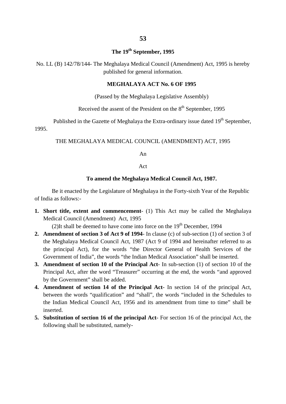### **The 19th September, 1995**

No. LL (B) 142/78/144- The Meghalaya Medical Council (Amendment) Act, 1995 is hereby published for general information.

#### **MEGHALAYA ACT No. 6 OF 1995**

(Passed by the Meghalaya Legislative Assembly)

Received the assent of the President on the 8<sup>th</sup> September, 1995

Published in the Gazette of Meghalaya the Extra-ordinary issue dated  $19<sup>th</sup>$  September, 1995.

#### THE MEGHALAYA MEDICAL COUNCIL (AMENDMENT) ACT, 1995

An

#### Act

#### **To amend the Meghalaya Medical Council Act, 1987.**

Be it enacted by the Legislature of Meghalaya in the Forty-sixth Year of the Republic of India as follows:-

**1. Short title, extent and commencement**- (1) This Act may be called the Meghalaya Medical Council (Amendment) Act, 1995

(2)It shall be deemed to have come into force on the  $19<sup>th</sup>$  December, 1994

- **2. Amendment of section 3 of Act 9 of 1994** In clause (c) of sub-section (1) of section 3 of the Meghalaya Medical Council Act, 1987 (Act 9 of 1994 and hereinafter referred to as the principal Act), for the words "the Director General of Health Services of the Government of India", the words "the Indian Medical Association" shall be inserted.
- **3. Amendment of section 10 of the Principal Act** In sub-section (1) of section 10 of the Principal Act, after the word "Treasurer" occurring at the end, the words "and approved by the Government" shall be added.
- **4. Amendment of section 14 of the Principal Act** In section 14 of the principal Act, between the words "qualification" and "shall", the words "included in the Schedules to the Indian Medical Council Act, 1956 and its amendment from time to time" shall be inserted.
- **5. Substitution of section 16 of the principal Act** For section 16 of the principal Act, the following shall be substituted, namely-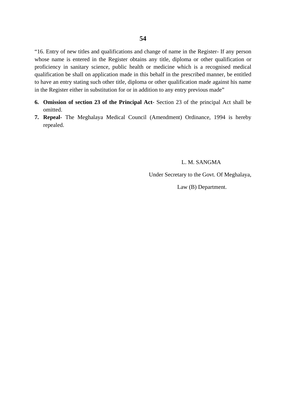"16. Entry of new titles and qualifications and change of name in the Register- If any person whose name is entered in the Register obtains any title, diploma or other qualification or proficiency in sanitary science, public health or medicine which is a recognised medical qualification be shall on application made in this behalf in the prescribed manner, be entitled to have an entry stating such other title, diploma or other qualification made against his name in the Register either in substitution for or in addition to any entry previous made"

- **6. Omission of section 23 of the Principal Act** Section 23 of the principal Act shall be omitted.
- **7. Repeal** The Meghalaya Medical Council (Amendment) Ordinance, 1994 is hereby repealed.

L. M. SANGMA

Under Secretary to the Govt. Of Meghalaya,

Law (B) Department.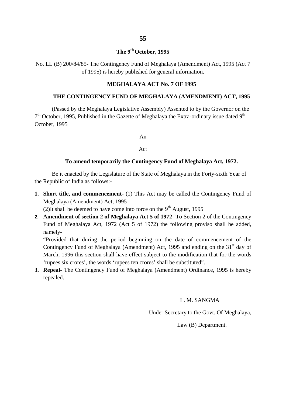### **The 9th October, 1995**

No. LL (B) 200/84/85- The Contingency Fund of Meghalaya (Amendment) Act, 1995 (Act 7 of 1995) is hereby published for general information.

#### **MEGHALAYA ACT No. 7 OF 1995**

#### **THE CONTINGENCY FUND OF MEGHALAYA (AMENDMENT) ACT, 1995**

(Passed by the Meghalaya Legislative Assembly) Assented to by the Governor on the  $7<sup>th</sup>$  October, 1995, Published in the Gazette of Meghalaya the Extra-ordinary issue dated 9<sup>th</sup> October, 1995

An

Act

#### **To amend temporarily the Contingency Fund of Meghalaya Act, 1972.**

Be it enacted by the Legislature of the State of Meghalaya in the Forty-sixth Year of the Republic of India as follows:-

**1. Short title, and commencement**- (1) This Act may be called the Contingency Fund of Meghalaya (Amendment) Act, 1995

(2)It shall be deemed to have come into force on the  $9<sup>th</sup>$  August, 1995

**2. Amendment of section 2 of Meghalaya Act 5 of 1972**- To Section 2 of the Contingency Fund of Meghalaya Act, 1972 (Act 5 of 1972) the following proviso shall be added, namely-

"Provided that during the period beginning on the date of commencement of the Contingency Fund of Meghalaya (Amendment) Act, 1995 and ending on the  $31<sup>st</sup>$  day of March, 1996 this section shall have effect subject to the modification that for the words 'rupees six crores', the words 'rupees ten crores' shall be substituted".

**3. Repeal**- The Contingency Fund of Meghalaya (Amendment) Ordinance, 1995 is hereby repealed.

#### L. M. SANGMA

Under Secretary to the Govt. Of Meghalaya,

Law (B) Department.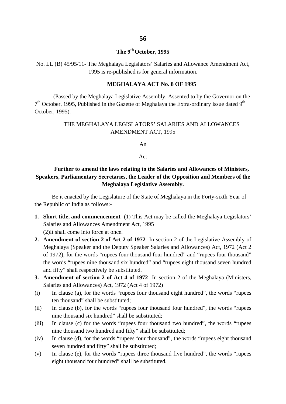### **The 9th October, 1995**

No. LL (B) 45/95/11- The Meghalaya Legislators' Salaries and Allowance Amendment Act, 1995 is re-published is for general information.

#### **MEGHALAYA ACT No. 8 OF 1995**

(Passed by the Meghalaya Legislative Assembly. Assented to by the Governor on the  $7<sup>th</sup>$  October, 1995, Published in the Gazette of Meghalaya the Extra-ordinary issue dated 9<sup>th</sup> October, 1995).

### THE MEGHALAYA LEGISLATORS' SALARIES AND ALLOWANCES AMENDMENT ACT, 1995

An

#### Act

### **Further to amend the laws relating to the Salaries and Allowances of Ministers, Speakers, Parliamentary Secretaries, the Leader of the Opposition and Members of the Meghalaya Legislative Assembly.**

Be it enacted by the Legislature of the State of Meghalaya in the Forty-sixth Year of the Republic of India as follows:-

- **1. Short title, and commencement** (1) This Act may be called the Meghalaya Legislators' Salaries and Allowances Amendment Act, 1995 (2)It shall come into force at once.
- **2. Amendment of section 2 of Act 2 of 1972** In section 2 of the Legislative Assembly of Meghalaya (Speaker and the Deputy Speaker Salaries and Allowances) Act, 1972 (Act 2 of 1972), for the words "rupees four thousand four hundred" and "rupees four thousand" the words "rupees nine thousand six hundred" and "rupees eight thousand seven hundred and fifty" shall respectively be substituted.
- **3. Amendment of section 2 of Act 4 of 1972** In section 2 of the Meghalaya (Ministers, Salaries and Allowances) Act, 1972 (Act 4 of 1972)
- (i) In clause (a), for the words "rupees four thousand eight hundred", the words "rupees ten thousand" shall be substituted;
- (ii) In clause (b), for the words "rupees four thousand four hundred", the words "rupees nine thousand six hundred" shall be substituted;
- (iii) In clause (c) for the words "rupees four thousand two hundred", the words "rupees nine thousand two hundred and fifty" shall be substituted;
- (iv) In clause (d), for the words "rupees four thousand", the words "rupees eight thousand seven hundred and fifty" shall be substituted;
- (v) In clause (e), for the words "rupees three thousand five hundred", the words "rupees eight thousand four hundred" shall be substituted.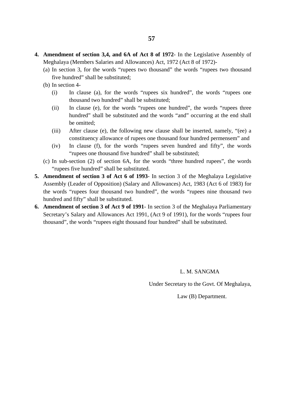- **4. Amendment of section 3,4, and 6A of Act 8 of 1972** In the Legislative Assembly of Meghalaya (Members Salaries and Allowances) Act, 1972 (Act 8 of 1972)-
	- (a) In section 3, for the words "rupees two thousand" the words "rupees two thousand five hundred" shall be substituted;
	- (b) In section 4-
		- (i) In clause (a), for the words "rupees six hundred", the words "rupees one thousand two hundred" shall be substituted;
		- (ii) In clause (e), for the words "rupees one hundred", the words "rupees three hundred" shall be substituted and the words "and" occurring at the end shall be omitted;
		- (iii) After clause (e), the following new clause shall be inserted, namely, "(ee) a constituency allowance of rupees one thousand four hundred permensem" and
		- (iv) In clause (f), for the words "rupees seven hundred and fifty", the words "rupees one thousand five hundred" shall be substituted;
	- (c) In sub-section (2) of section 6A, for the words "three hundred rupees", the words "rupees five hundred" shall be substituted.
- **5. Amendment of section 3 of Act 6 of 1993** In section 3 of the Meghalaya Legislative Assembly (Leader of Opposition) (Salary and Allowances) Act, 1983 (Act 6 of 1983) for the words "rupees four thousand two hundred", the words "rupees nine thousand two hundred and fifty" shall be substituted.
- **6. Amendment of section 3 of Act 9 of 1991** In section 3 of the Meghalaya Parliamentary Secretary's Salary and Allowances Act 1991, (Act 9 of 1991), for the words "rupees four thousand", the words "rupees eight thousand four hundred" shall be substituted.

#### L. M. SANGMA

Under Secretary to the Govt. Of Meghalaya,

Law (B) Department.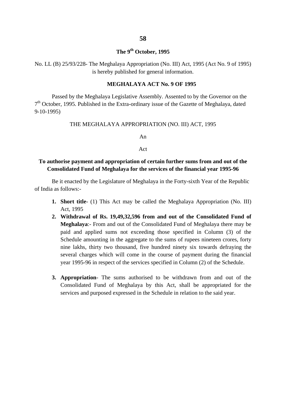### **The 9th October, 1995**

No. LL (B) 25/93/228- The Meghalaya Appropriation (No. III) Act, 1995 (Act No. 9 of 1995) is hereby published for general information.

#### **MEGHALAYA ACT No. 9 OF 1995**

Passed by the Meghalaya Legislative Assembly. Assented to by the Governor on the 7<sup>th</sup> October, 1995. Published in the Extra-ordinary issue of the Gazette of Meghalaya, dated 9-10-1995)

THE MEGHALAYA APPROPRIATION (NO. III) ACT, 1995

An

#### Act

### **To authorise payment and appropriation of certain further sums from and out of the Consolidated Fund of Meghalaya for the services of the financial year 1995-96**

Be it enacted by the Legislature of Meghalaya in the Forty-sixth Year of the Republic of India as follows:-

- **1. Short title** (1) This Act may be called the Meghalaya Appropriation (No. III) Act, 1995
- **2. Withdrawal of Rs. 19,49,32,596 from and out of the Consolidated Fund of Meghalaya**:- From and out of the Consolidated Fund of Meghalaya there may be paid and applied sums not exceeding those specified in Column (3) of the Schedule amounting in the aggregate to the sums of rupees nineteen crores, forty nine lakhs, thirty two thousand, five hundred ninety six towards defraying the several charges which will come in the course of payment during the financial year 1995-96 in respect of the services specified in Column (2) of the Schedule.
- **3. Appropriation** The sums authorised to be withdrawn from and out of the Consolidated Fund of Meghalaya by this Act, shall be appropriated for the services and purposed expressed in the Schedule in relation to the said year.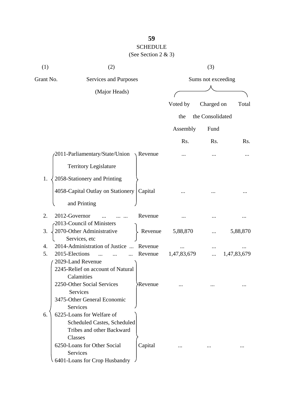### **59** SCHEDULE (See Section 2 & 3)

| (1) | (2)                                             |                      |             | (3)                |                  |
|-----|-------------------------------------------------|----------------------|-------------|--------------------|------------------|
|     | Grant No.<br>Services and Purposes              |                      |             | Sums not exceeding |                  |
|     | (Major Heads)                                   |                      |             |                    |                  |
|     |                                                 |                      | Voted by    | Charged on         | Total            |
|     |                                                 |                      | the         | the Consolidated   |                  |
|     |                                                 |                      |             |                    |                  |
|     |                                                 |                      | Assembly    | Fund               |                  |
|     |                                                 |                      | Rs.         | Rs.                | R <sub>s</sub> . |
|     | 2011-Parliamentary/State/Union                  | Revenue              |             |                    |                  |
|     | <b>Territory Legislature</b>                    |                      |             |                    |                  |
| 1.  | 2058-Stationery and Printing                    |                      |             |                    |                  |
|     |                                                 |                      |             |                    |                  |
|     | 4058-Capital Outlay on Stationery               | Capital              |             |                    |                  |
|     | and Printing                                    |                      |             |                    |                  |
| 2.  | 2012-Governor                                   | Revenue              |             |                    |                  |
| 3.  | 2013-Council of Ministers                       |                      |             |                    |                  |
|     | 2070-Other Administrative<br>Services, etc      | Revenue              | 5,88,870    |                    | 5,88,870         |
| 4.  | 2014-Administration of Justice<br>$\dddotsc$    | Revenue              |             |                    |                  |
| 5.  | 2015-Elections                                  | Revenue              | 1,47,83,679 |                    | 1,47,83,679      |
|     | 2029-Land Revenue                               |                      |             |                    |                  |
|     | 2245-Relief on account of Natural<br>Calamities |                      |             |                    |                  |
|     | 2250-Other Social Services                      | Revenue <sup>.</sup> |             |                    |                  |
|     | <b>Services</b>                                 |                      |             |                    |                  |
|     | 3475-Other General Economic                     |                      |             |                    |                  |
|     | <b>Services</b>                                 |                      |             |                    |                  |
| 6.  | 6225-Loans for Welfare of                       |                      |             |                    |                  |
|     | <b>Scheduled Castes, Scheduled</b>              |                      |             |                    |                  |
|     | Tribes and other Backward                       |                      |             |                    |                  |
|     | Classes                                         |                      |             |                    |                  |
|     | 6250-Loans for Other Social                     | Capital              |             |                    |                  |
|     | <b>Services</b>                                 |                      |             |                    |                  |
|     | 6401-Loans for Crop Husbandry                   |                      |             |                    |                  |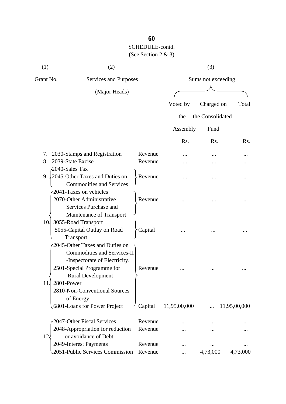# **60** SCHEDULE-contd.

### (See Section 2 & 3)

| (1)           | (2)                                                                                                                                                                                                                         |                    |                    | (3)              |              |
|---------------|-----------------------------------------------------------------------------------------------------------------------------------------------------------------------------------------------------------------------------|--------------------|--------------------|------------------|--------------|
| Grant No.     | Services and Purposes                                                                                                                                                                                                       |                    | Sums not exceeding |                  |              |
| (Major Heads) |                                                                                                                                                                                                                             |                    |                    |                  |              |
|               |                                                                                                                                                                                                                             |                    | Voted by           | Charged on       | Total        |
|               |                                                                                                                                                                                                                             |                    | the                | the Consolidated |              |
|               |                                                                                                                                                                                                                             |                    | Assembly           | Fund             |              |
|               |                                                                                                                                                                                                                             |                    | Rs.                | Rs.              | Rs.          |
| 7.            | 2030-Stamps and Registration                                                                                                                                                                                                | Revenue            |                    |                  |              |
| 8.            | 2039-State Excise                                                                                                                                                                                                           | Revenue            |                    |                  |              |
|               | 2040-Sales Tax<br>9. 2045-Other Taxes and Duties on<br><b>Commodities and Services</b>                                                                                                                                      | Revenue            |                    |                  |              |
|               | 2041-Taxes on vehicles<br>2070-Other Administrative<br>Services Purchase and                                                                                                                                                | Revenue            |                    |                  |              |
| 10.           | Maintenance of Transport<br>3055-Road Transport<br>5055-Capital Outlay on Road<br>Transport                                                                                                                                 | Capital            |                    |                  |              |
| 11.           | 2045-Other Taxes and Duties on<br><b>Commodities and Services-II</b><br>-Inspectorate of Electricity.<br>2501-Special Programme for<br><b>Rural Development</b><br>2801-Power<br>2810-Non-Conventional Sources<br>of Energy | Revenue            |                    |                  |              |
|               | 6801-Loans for Power Project                                                                                                                                                                                                | Capital            | 11,95,00,000       |                  | 11,95,00,000 |
|               | 2047-Other Fiscal Services                                                                                                                                                                                                  | Revenue            |                    |                  |              |
|               | 2048-Appropriation for reduction                                                                                                                                                                                            | Revenue            |                    |                  |              |
| $12\epsilon$  | or avoidance of Debt<br>2049-Interest Payments<br>2051-Public Services Commission                                                                                                                                           | Revenue<br>Revenue | $\cdots$           | 4,73,000         | 4,73,000     |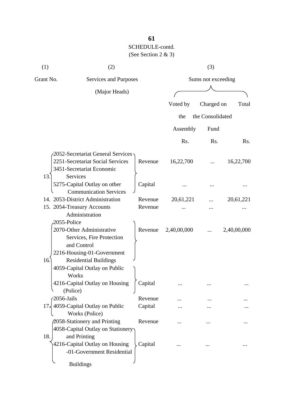| (1)       | (2)                                                             |         |             | (3)                |                  |  |
|-----------|-----------------------------------------------------------------|---------|-------------|--------------------|------------------|--|
| Grant No. | Services and Purposes                                           |         |             | Sums not exceeding |                  |  |
|           | (Major Heads)                                                   |         |             |                    |                  |  |
|           |                                                                 |         | Voted by    | Charged on         | Total            |  |
|           |                                                                 |         | the         | the Consolidated   |                  |  |
|           |                                                                 |         |             |                    |                  |  |
|           |                                                                 |         | Assembly    | Fund               |                  |  |
|           |                                                                 |         | Rs.         | Rs.                | R <sub>s</sub> . |  |
|           | P2052-Secretariat General Services                              |         |             |                    |                  |  |
|           | 2251-Secretariat Social Services                                | Revenue | 16,22,700   |                    | 16,22,700        |  |
|           | 3451-Secretariat Economic                                       |         |             |                    |                  |  |
| 13.       | Services                                                        |         |             |                    |                  |  |
|           | 5275-Capital Outlay on other<br><b>Communication Services</b>   | Capital |             |                    |                  |  |
|           | 14. 2053-District Administration                                | Revenue | 20,61,221   |                    | 20,61,221        |  |
|           | 15. 2054-Treasury Accounts                                      | Revenue |             |                    |                  |  |
|           | Administration                                                  |         |             |                    |                  |  |
|           | 2055-Police                                                     |         |             |                    |                  |  |
|           | 2070-Other Administrative                                       | Revenue | 2,40,00,000 |                    | 2,40,00,000      |  |
|           | Services, Fire Protection                                       |         |             |                    |                  |  |
|           | and Control<br>2216-Housing-01-Government                       |         |             |                    |                  |  |
| 16.       | <b>Residential Buildings</b>                                    |         |             |                    |                  |  |
|           | 4059-Capital Outlay on Public                                   |         |             |                    |                  |  |
|           | Works                                                           |         |             |                    |                  |  |
|           | 4216-Capital Outlay on Housing                                  | Capital |             |                    |                  |  |
|           | (Police)                                                        |         |             |                    |                  |  |
|           | $-2056$ -Jails                                                  | Revenue |             |                    |                  |  |
|           | $17\frac{1}{2}$ 4059-Capital Outlay on Public<br>Works (Police) | Capital |             |                    |                  |  |
|           | 2058-Stationery and Printing                                    | Revenue |             |                    |                  |  |
|           | 4058-Capital Outlay on Stationery                               |         |             |                    |                  |  |
| 18.       | and Printing                                                    |         |             |                    |                  |  |
|           | 4216-Capital Outlay on Housing                                  | Capital |             |                    |                  |  |
|           | -01-Government Residential                                      |         |             |                    |                  |  |
|           | <b>Buildings</b>                                                |         |             |                    |                  |  |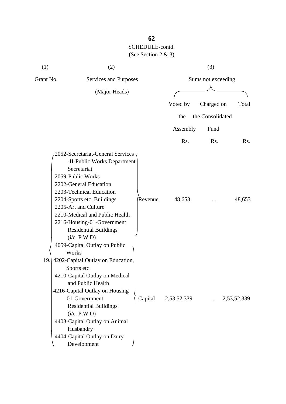| (1)       | (2)                                                                                                                                                                                                                                                                                                                                               |         |             | (3)                |             |
|-----------|---------------------------------------------------------------------------------------------------------------------------------------------------------------------------------------------------------------------------------------------------------------------------------------------------------------------------------------------------|---------|-------------|--------------------|-------------|
| Grant No. | Services and Purposes                                                                                                                                                                                                                                                                                                                             |         |             | Sums not exceeding |             |
|           | (Major Heads)                                                                                                                                                                                                                                                                                                                                     |         |             |                    |             |
|           |                                                                                                                                                                                                                                                                                                                                                   |         | Voted by    | Charged on         | Total       |
|           |                                                                                                                                                                                                                                                                                                                                                   |         | the         | the Consolidated   |             |
|           |                                                                                                                                                                                                                                                                                                                                                   |         | Assembly    | Fund               |             |
|           |                                                                                                                                                                                                                                                                                                                                                   |         | Rs.         | Rs.                | Rs.         |
|           | 2052-Secretariat-General Services<br>-II-Public Works Department<br>Secretariat<br>2059-Public Works<br>2202-General Education<br>2203-Technical Education<br>2204-Sports etc. Buildings<br>2205-Art and Culture<br>2210-Medical and Public Health<br>2216-Housing-01-Government<br><b>Residential Buildings</b><br>(i/c. P.W.D)                  | Revenue | 48,653      |                    | 48,653      |
| 19.       | 4059-Capital Outlay on Public<br>Works<br>4202-Capital Outlay on Education,<br>Sports etc<br>4210-Capital Outlay on Medical<br>and Public Health<br>4216-Capital Outlay on Housing<br>-01-Government<br><b>Residential Buildings</b><br>(i/c. P.W.D)<br>4403-Capital Outlay on Animal<br>Husbandry<br>4404-Capital Outlay on Dairy<br>Development | Capital | 2,53,52,339 | $\cdots$           | 2,53,52,339 |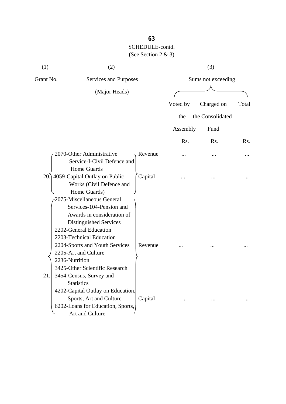| (1)       | (2)                                                                                                                                                                                                                                                                                                           |         |                    | (3)              |       |
|-----------|---------------------------------------------------------------------------------------------------------------------------------------------------------------------------------------------------------------------------------------------------------------------------------------------------------------|---------|--------------------|------------------|-------|
| Grant No. | Services and Purposes                                                                                                                                                                                                                                                                                         |         | Sums not exceeding |                  |       |
|           | (Major Heads)                                                                                                                                                                                                                                                                                                 |         |                    |                  |       |
|           |                                                                                                                                                                                                                                                                                                               |         | Voted by           | Charged on       | Total |
|           |                                                                                                                                                                                                                                                                                                               |         | the                | the Consolidated |       |
|           |                                                                                                                                                                                                                                                                                                               |         | Assembly           | Fund             |       |
|           |                                                                                                                                                                                                                                                                                                               |         | Rs.                | Rs.              | Rs.   |
|           | 2070-Other Administrative<br>Service-I-Civil Defence and                                                                                                                                                                                                                                                      | Revenue |                    |                  |       |
| 20.       | Home Guards<br>4059-Capital Outlay on Public<br>Works (Civil Defence and<br>Home Guards)                                                                                                                                                                                                                      | Capital |                    |                  |       |
| 21        | 2075-Miscellaneous General<br>Services-104-Pension and<br>Awards in consideration of<br>Distinguished Services<br>2202-General Education<br>2203-Technical Education<br>2204-Sports and Youth Services<br>2205-Art and Culture<br>2236-Nutrition<br>3425-Other Scientific Research<br>3454-Census, Survey and | Revenue |                    |                  |       |
|           | <b>Statistics</b><br>4202-Capital Outlay on Education,<br>Sports, Art and Culture<br>6202-Loans for Education, Sports,<br>Art and Culture                                                                                                                                                                     | Capital |                    |                  |       |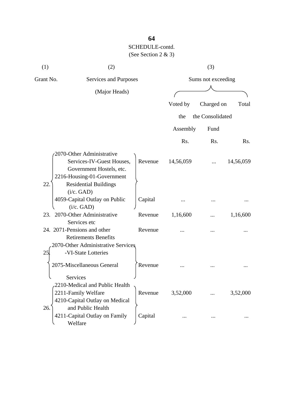| (1)       | (2)                                                                                                                                                            |         |           | (3)                |           |
|-----------|----------------------------------------------------------------------------------------------------------------------------------------------------------------|---------|-----------|--------------------|-----------|
| Grant No. | Services and Purposes                                                                                                                                          |         |           | Sums not exceeding |           |
|           | (Major Heads)                                                                                                                                                  |         |           |                    |           |
|           |                                                                                                                                                                |         | Voted by  | Charged on         | Total     |
|           |                                                                                                                                                                |         | the       | the Consolidated   |           |
|           |                                                                                                                                                                |         | Assembly  | Fund               |           |
|           |                                                                                                                                                                |         | Rs.       | Rs.                | Rs.       |
| 22.       | 2070-Other Administrative<br>Services-IV-Guest Houses,<br>Government Hostels, etc.<br>2216-Housing-01-Government<br><b>Residential Buildings</b><br>(i/c. GAD) | Revenue | 14,56,059 |                    | 14,56,059 |
|           | 4059-Capital Outlay on Public                                                                                                                                  | Capital |           |                    |           |
| 23.       | (i/c. GAD)<br>2070-Other Administrative<br>Services etc                                                                                                        | Revenue | 1,16,600  |                    | 1,16,600  |
| 25        | 24. 2071-Pensions and other<br><b>Retirements Benefits</b><br>2070-Other Administrative Services<br>-VI-State Lotteries                                        | Revenue |           |                    |           |
|           | 2075-Miscellaneous General                                                                                                                                     | Revenue |           |                    |           |
| 26.       | Services<br>2210-Medical and Public Health<br>2211-Family Welfare<br>4210-Capital Outlay on Medical<br>and Public Health                                       | Revenue | 3,52,000  |                    | 3,52,000  |
|           | 4211-Capital Outlay on Family<br>Welfare                                                                                                                       | Capital |           |                    |           |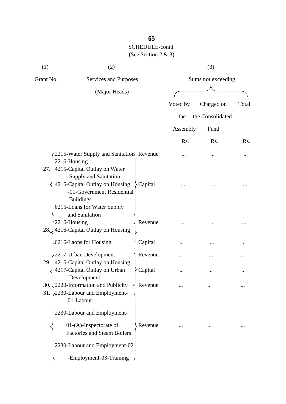| (1)                 | (2)                                                                                                                                                                      |         |          | (3)                |       |
|---------------------|--------------------------------------------------------------------------------------------------------------------------------------------------------------------------|---------|----------|--------------------|-------|
| Grant No.           | Services and Purposes                                                                                                                                                    |         |          | Sums not exceeding |       |
|                     | (Major Heads)                                                                                                                                                            |         |          |                    |       |
|                     |                                                                                                                                                                          |         | Voted by | Charged on         | Total |
|                     |                                                                                                                                                                          |         | the      | the Consolidated   |       |
|                     |                                                                                                                                                                          |         | Assembly | Fund               |       |
|                     |                                                                                                                                                                          |         | Rs.      | Rs.                | Rs.   |
| 2216-Housing        | 2215-Water Supply and Sanitation, Revenue                                                                                                                                |         |          |                    |       |
| 27.                 | 4215-Capital Outlay on Water<br>Supply and Sanitation<br>4216-Capital Outlay on Housing<br>-01-Government Residential<br><b>Buildings</b><br>6215-Loans for Water Supply | Capital |          |                    |       |
| 2216-Housing<br>28. | and Sanitation<br>4216-Capital Outlay on Housing                                                                                                                         | Revenue |          |                    |       |
|                     | 6216-Laons for Housing                                                                                                                                                   | Capital |          |                    |       |
|                     | 2217-Urban Development                                                                                                                                                   | Revenue |          |                    |       |
| 29.                 | 4216-Capital Outlay on Housing<br>4217-Capital Outlay on Urban<br>Development                                                                                            | Capital |          |                    |       |
|                     | 30. $\frac{2220\text{-Information and Publicity}}{}$<br>31. 2230-Labour and Employment-<br>01-Labour                                                                     | Revenue |          |                    |       |
|                     | 2230-Labour and Employment-                                                                                                                                              |         |          |                    |       |
|                     | $01-(A)$ -Inspectorate of<br><b>Factories and Steam Boilers</b>                                                                                                          | Revenue |          |                    |       |
|                     | 2230-Labour and Employment-02                                                                                                                                            |         |          |                    |       |
|                     | -Employment-03-Training                                                                                                                                                  |         |          |                    |       |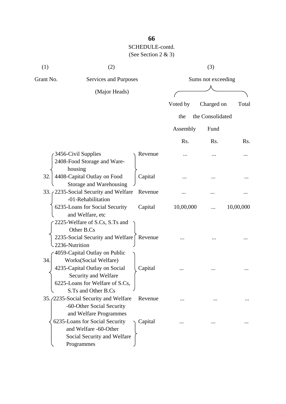| (1)            | (2)                                                                                                                                      |         |           | (3)                |           |
|----------------|------------------------------------------------------------------------------------------------------------------------------------------|---------|-----------|--------------------|-----------|
| Grant No.      | Services and Purposes                                                                                                                    |         |           | Sums not exceeding |           |
|                | (Major Heads)                                                                                                                            |         |           |                    |           |
|                |                                                                                                                                          |         | Voted by  | Charged on         | Total     |
|                |                                                                                                                                          |         | the       | the Consolidated   |           |
|                |                                                                                                                                          |         | Assembly  | Fund               |           |
|                |                                                                                                                                          |         | Rs.       | Rs.                | Rs.       |
|                | 3456-Civil Supplies<br>2408-Food Storage and Ware-<br>housing                                                                            | Revenue |           |                    |           |
| 32.            | 4408-Capital Outlay on Food<br>Storage and Warehousing                                                                                   | Capital |           |                    |           |
|                | 33. 2235-Social Security and Welfare<br>-01-Rehabilitation                                                                               | Revenue |           |                    |           |
|                | 6235-Loans for Social Security<br>and Welfare, etc<br>2225-Welfare of S.Cs, S.Ts and<br>Other B.Cs                                       | Capital | 10,00,000 |                    | 10,00,000 |
| 2236-Nutrition | 2235-Social Security and Welfare<br>4059-Capital Outlay on Public                                                                        | Revenue |           |                    |           |
| 34.            | Works(Social Welfare)<br>4235-Capital Outlay on Social<br>Security and Welfare<br>6225-Loans for Welfare of S.Cs,<br>S.Ts and Other B.Cs | Capital |           |                    |           |
|                | 35. (2235-Social Security and Welfare<br>-60-Other Social Security<br>and Welfare Programmes                                             | Revenue |           |                    |           |
|                | 6235-Loans for Social Security<br>and Welfare -60-Other<br>Social Security and Welfare<br>Programmes                                     | Capital |           |                    |           |

## **66**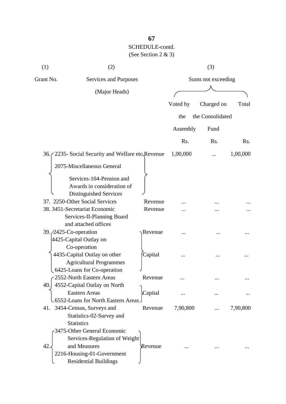| (1)                             | (2)                                                    |         |          | (3)                |          |
|---------------------------------|--------------------------------------------------------|---------|----------|--------------------|----------|
| Grant No.                       | <b>Services and Purposes</b>                           |         |          | Sums not exceeding |          |
|                                 | (Major Heads)                                          |         |          |                    |          |
|                                 |                                                        |         | Voted by | Charged on         | Total    |
|                                 |                                                        |         |          |                    |          |
|                                 |                                                        |         | the      | the Consolidated   |          |
|                                 |                                                        |         | Assembly | Fund               |          |
|                                 |                                                        |         | Rs.      | Rs.                | Rs.      |
|                                 | 36. (2235 - Social Security and Welfare etc Revenue    |         | 1,00,000 |                    | 1,00,000 |
|                                 | 2075-Miscellaneous General                             |         |          |                    |          |
|                                 |                                                        |         |          |                    |          |
|                                 | Services-104-Pension and<br>Awards in consideration of |         |          |                    |          |
|                                 | Distinguished Services                                 |         |          |                    |          |
|                                 | 37. 2250-Other Social Services                         | Revenue |          |                    |          |
|                                 | 38. 3451-Secretariat Economic                          | Revenue |          |                    |          |
|                                 | Services-II-Planning Board                             |         |          |                    |          |
|                                 | and attached offices                                   |         |          |                    |          |
| 39. <i>(2425-Co-operation</i> ) |                                                        | Revenue |          |                    |          |
|                                 | 4425-Capital Outlay on                                 |         |          |                    |          |
|                                 | Co-operation                                           |         |          |                    |          |
|                                 | 4435-Capital Outlay on other                           | Capital |          |                    |          |
|                                 | <b>Agricultural Programmes</b>                         |         |          |                    |          |
|                                 | 6425-Loans for Co-operation                            |         |          |                    |          |
|                                 | $\epsilon$ 2552-North Eastern Areas                    | Revenue |          |                    |          |
| 40.                             | 4552-Capital Outlay on North                           |         |          |                    |          |
|                                 | <b>Eastern Areas</b>                                   | Capital |          |                    |          |
|                                 | 6552-Loans for North Eastern Areas.                    |         |          |                    |          |
| 41.                             | 3454-Census, Surveys and                               | Revenue | 7,90,800 |                    | 7,90,800 |
|                                 | Statistics-02-Survey and                               |         |          |                    |          |
|                                 | <b>Statistics</b>                                      |         |          |                    |          |
|                                 | 3475-Other General Economic                            |         |          |                    |          |
|                                 | Services-Regulation of Weight                          |         |          |                    |          |
| 42.                             | and Measures                                           | Revenue |          |                    |          |
|                                 | 2216-Housing-01-Government                             |         |          |                    |          |
|                                 | <b>Residential Buildings</b>                           |         |          |                    |          |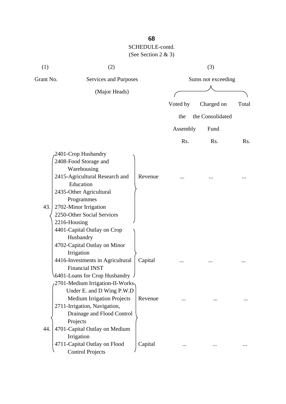| (1)       | (2)                                                         |         |          | (3)                |       |
|-----------|-------------------------------------------------------------|---------|----------|--------------------|-------|
| Grant No. | Services and Purposes                                       |         |          | Sums not exceeding |       |
|           | (Major Heads)                                               |         |          |                    |       |
|           |                                                             |         | Voted by | Charged on         | Total |
|           |                                                             |         | the      | the Consolidated   |       |
|           |                                                             |         | Assembly | Fund               |       |
|           |                                                             |         | Rs.      | Rs.                | Rs.   |
|           |                                                             |         |          |                    |       |
|           | 2401-Crop Husbandry<br>2408-Food Storage and<br>Warehousing |         |          |                    |       |
|           | 2415-Agricultural Research and<br>Education                 | Revenue |          |                    |       |
|           | 2435-Other Agricultural                                     |         |          |                    |       |
|           | Programmes                                                  |         |          |                    |       |
| 43.       | 2702-Minor Irrigation                                       |         |          |                    |       |
|           | 2250-Other Social Services                                  |         |          |                    |       |
|           | 2216-Housing                                                |         |          |                    |       |
|           | 4401-Capital Outlay on Crop                                 |         |          |                    |       |
|           | Husbandry                                                   |         |          |                    |       |
|           | 4702-Capital Outlay on Minor                                |         |          |                    |       |
|           | Irrigation                                                  |         |          |                    |       |
|           | 4416-Investments in Agricultural<br><b>Financial INST</b>   | Capital |          |                    |       |
|           | $\setminus$ 6401-Loans for Crop Husbandry J                 |         |          |                    |       |
|           | 2701-Medium Irrigation-II-Works                             |         |          |                    |       |
|           | Under E. and D Wing P.W.D                                   |         |          |                    |       |
|           | <b>Medium Irrigation Projects</b>                           | Revenue |          |                    |       |
|           | 2711-Irrigation, Navigation,                                |         |          |                    |       |
|           | Drainage and Flood Control                                  |         |          |                    |       |
|           | Projects                                                    |         |          |                    |       |
| 44.       | 4701-Capital Outlay on Medium                               |         |          |                    |       |
|           | Irrigation                                                  |         |          |                    |       |
|           | 4711-Capital Outlay on Flood                                | Capital |          |                    |       |
|           | <b>Control Projects</b>                                     |         |          |                    |       |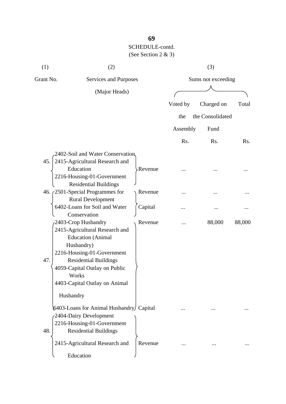| (1)       | (2)                                                   |                |                    | (3)              |        |
|-----------|-------------------------------------------------------|----------------|--------------------|------------------|--------|
| Grant No. | Services and Purposes                                 |                | Sums not exceeding |                  |        |
|           | (Major Heads)                                         |                |                    |                  |        |
|           |                                                       |                | Voted by           | Charged on       | Total  |
|           |                                                       |                | the                | the Consolidated |        |
|           |                                                       |                | Assembly           | Fund             |        |
|           |                                                       |                | Rs.                | Rs.              | Rs.    |
|           | 2402-Soil and Water Conservation                      |                |                    |                  |        |
| 45.       | 2415-Agricultural Research and                        |                |                    |                  |        |
|           | Education                                             | <b>Revenue</b> |                    |                  |        |
|           | 2216-Housing-01-Government                            |                |                    |                  |        |
|           | <b>Residential Buildings</b>                          |                |                    |                  |        |
|           | 46. $\zeta$ 2501-Special Programmes for               | Revenue        |                    |                  |        |
|           | <b>Rural Development</b>                              |                |                    |                  |        |
|           | 6402-Loans for Soil and Water                         | Capital        |                    |                  |        |
|           | Conservation                                          |                |                    |                  |        |
|           | 2403-Crop Husbandry<br>2415-Agricultural Research and | Revenue        | .                  | 88,000           | 88,000 |
|           | <b>Education</b> (Animal                              |                |                    |                  |        |
|           | Husbandry)                                            |                |                    |                  |        |
|           | 2216-Housing-01-Government                            |                |                    |                  |        |
| 47.       | <b>Residential Buildings</b>                          |                |                    |                  |        |
|           | 4059-Capital Outlay on Public                         |                |                    |                  |        |
|           | Works                                                 |                |                    |                  |        |
|           | 4403-Capital Outlay on Animal                         |                |                    |                  |        |
| Husbandry |                                                       |                |                    |                  |        |
|           | 6403-Loans for Animal Husbandry/ Capital              |                |                    |                  |        |
|           | 2404-Dairy Development                                |                |                    |                  |        |
|           | 2216-Housing-01-Government                            |                |                    |                  |        |
| 48.       | <b>Residential Buildings</b>                          |                |                    |                  |        |
|           | 2415-Agricultural Research and                        | Revenue        |                    |                  |        |
|           | Education                                             |                |                    |                  |        |

**69**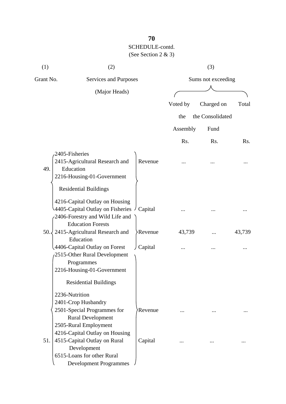| (1)       | (2)                                                                                                                                                                                        |                    | (3)              |        |
|-----------|--------------------------------------------------------------------------------------------------------------------------------------------------------------------------------------------|--------------------|------------------|--------|
| Grant No. | Services and Purposes                                                                                                                                                                      | Sums not exceeding |                  |        |
|           | (Major Heads)                                                                                                                                                                              |                    |                  |        |
|           |                                                                                                                                                                                            | Voted by           | Charged on       | Total  |
|           |                                                                                                                                                                                            | the                | the Consolidated |        |
|           |                                                                                                                                                                                            |                    |                  |        |
|           |                                                                                                                                                                                            | Assembly           | Fund             |        |
|           |                                                                                                                                                                                            | Rs.                | Rs.              | Rs.    |
| 49.       | 2405-Fisheries<br>2415-Agricultural Research and<br>Revenue<br>Education<br>2216-Housing-01-Government                                                                                     |                    |                  |        |
|           | <b>Residential Buildings</b><br>4216-Capital Outlay on Housing<br>4405-Capital Outlay on Fisheries $\frac{1}{2}$<br>Capital<br>2406-Forestry and Wild Life and<br><b>Education Forests</b> |                    |                  |        |
| 50.4      | 2415-Agricultural Research and<br><b>Revenue</b><br>Education                                                                                                                              | 43,739             |                  | 43,739 |
|           | 4406-Capital Outlay on Forest<br>Capital<br>2515-Other Rural Development<br>Programmes<br>2216-Housing-01-Government                                                                       |                    |                  |        |
|           | <b>Residential Buildings</b>                                                                                                                                                               |                    |                  |        |
|           | 2236-Nutrition<br>2401-Crop Husbandry<br>2501-Special Programmes for<br>Revenue<br><b>Rural Development</b><br>2505-Rural Employment                                                       |                    |                  |        |
| 51.       | 4216-Capital Outlay on Housing<br>4515-Capital Outlay on Rural<br>Capital<br>Development<br>6515-Loans for other Rural<br><b>Development Programmes</b>                                    |                    |                  |        |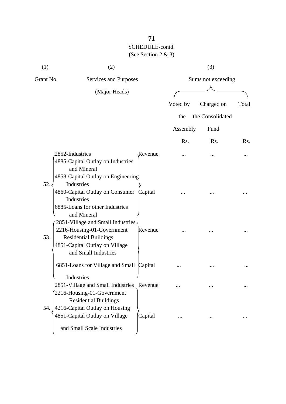# **71** SCHEDULE-contd. (See Section 2 & 3)

| (1)       | (2)                                                                                                                                                                                                                                                             |                    |                    | (3)              |       |
|-----------|-----------------------------------------------------------------------------------------------------------------------------------------------------------------------------------------------------------------------------------------------------------------|--------------------|--------------------|------------------|-------|
| Grant No. | Services and Purposes<br>(Major Heads)                                                                                                                                                                                                                          |                    | Sums not exceeding |                  |       |
|           |                                                                                                                                                                                                                                                                 |                    |                    |                  |       |
|           |                                                                                                                                                                                                                                                                 |                    | Voted by           | Charged on       | Total |
|           |                                                                                                                                                                                                                                                                 |                    | the                | the Consolidated |       |
|           |                                                                                                                                                                                                                                                                 |                    | Assembly           | Fund             |       |
|           |                                                                                                                                                                                                                                                                 |                    | Rs.                | Rs.              | Rs.   |
| 52.       | 2852-Industries<br>4885-Capital Outlay on Industries<br>and Mineral<br>4858-Capital Outlay on Engineering<br>Industries<br>4860-Capital Outlay on Consumer<br>Industries<br>6885-Loans for other Industries<br>and Mineral<br>2851-Village and Small Industries | Revenue<br>Capital |                    |                  |       |
| 53.       | 2216-Housing-01-Government<br><b>Residential Buildings</b><br>4851-Capital Outlay on Village<br>and Small Industries                                                                                                                                            | Revenue            |                    |                  |       |
|           | 6851-Loans for Village and Small Capital                                                                                                                                                                                                                        |                    |                    |                  |       |
|           | Industries<br>2851-Village and Small Industries Revenue<br>2216-Housing-01-Government<br><b>Residential Buildings</b>                                                                                                                                           |                    |                    |                  |       |
| 54.       | 4216-Capital Outlay on Housing<br>4851-Capital Outlay on Village<br>and Small Scale Industries                                                                                                                                                                  | Capital            |                    |                  |       |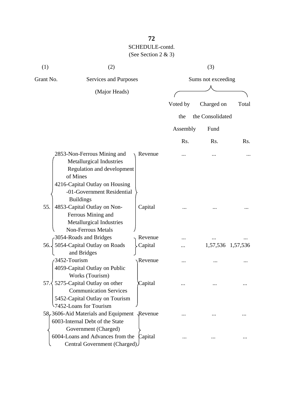# **72** SCHEDULE-contd. (See Section 2 & 3)

| (1)       | (2)                                                                                                                                                                                   |         | (3)<br>Sums not exceeding |                   |       |  |
|-----------|---------------------------------------------------------------------------------------------------------------------------------------------------------------------------------------|---------|---------------------------|-------------------|-------|--|
| Grant No. | Services and Purposes                                                                                                                                                                 |         |                           |                   |       |  |
|           | (Major Heads)                                                                                                                                                                         |         |                           |                   |       |  |
|           |                                                                                                                                                                                       |         | Voted by                  | Charged on        | Total |  |
|           |                                                                                                                                                                                       |         | the                       | the Consolidated  |       |  |
|           |                                                                                                                                                                                       |         |                           |                   |       |  |
|           |                                                                                                                                                                                       |         | Assembly                  | Fund              |       |  |
|           |                                                                                                                                                                                       |         | Rs.                       | Rs.               | Rs.   |  |
|           | 2853-Non-Ferrous Mining and<br>Metallurgical Industries<br>Regulation and development<br>of Mines<br>4216-Capital Outlay on Housing<br>-01-Government Residential<br><b>Buildings</b> | Revenue |                           |                   |       |  |
| 55.       | 4853-Capital Outlay on Non-<br>Ferrous Mining and<br>Metallurgical Industries<br><b>Non-Ferrous Metals</b>                                                                            | Capital |                           |                   |       |  |
|           | 3054-Roads and Bridges                                                                                                                                                                | Revenue |                           |                   |       |  |
| 56.       | 5054-Capital Outlay on Roads                                                                                                                                                          | Capital |                           | 1,57,536 1,57,536 |       |  |
|           | and Bridges<br>3452-Tourism<br>4059-Capital Outlay on Public<br>Works (Tourism)                                                                                                       | Revenue |                           |                   |       |  |
| 57.3      | 5275-Capital Outlay on other<br><b>Communication Services</b><br>5452-Capital Outlay on Tourism<br>7452-Loans for Tourism                                                             | Capital |                           |                   |       |  |
|           | 58, 3606-Aid Materials and Equipment Revenue<br>6003-Internal Debt of the State<br>Government (Charged)                                                                               |         |                           |                   |       |  |
|           | 6004-Loans and Advances from the<br>Central Government (Charged)                                                                                                                      | Capital |                           |                   |       |  |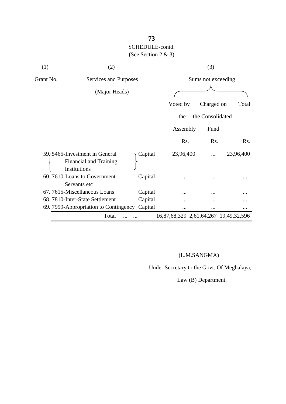# **73** SCHEDULE-contd. (See Section 2 & 3)

| (1)       | (2)                                                                             |         |                                       | (3)              |           |  |
|-----------|---------------------------------------------------------------------------------|---------|---------------------------------------|------------------|-----------|--|
| Grant No. | Services and Purposes                                                           |         | Sums not exceeding                    |                  |           |  |
|           | (Major Heads)                                                                   |         |                                       |                  |           |  |
|           |                                                                                 |         | Voted by                              | Charged on       | Total     |  |
|           |                                                                                 |         | the                                   | the Consolidated |           |  |
|           |                                                                                 |         | Assembly                              | Fund             |           |  |
|           |                                                                                 |         | Rs.                                   | Rs.              | Rs.       |  |
|           | 59, 5465-Investment in General<br><b>Financial and Training</b><br>Institutions | Capital | 23,96,400                             |                  | 23,96,400 |  |
|           | 60.7610-Loans to Government<br>Servants etc                                     | Capital |                                       |                  |           |  |
|           | 67. 7615-Miscellaneous Loans                                                    | Capital |                                       |                  |           |  |
|           | 68. 7810-Inter-State Settlement                                                 | Capital |                                       |                  |           |  |
|           | 69. 7999-Appropriation to Contingency                                           | Capital |                                       | $\cdots$         |           |  |
|           | Total                                                                           |         | 16,87,68,329 2,61,64,267 19,49,32,596 |                  |           |  |

## (L.M.SANGMA)

Under Secretary to the Govt. Of Meghalaya,

Law (B) Department.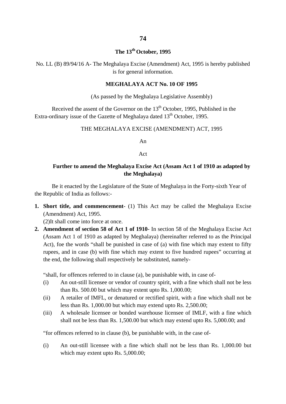## **The 13th October, 1995**

No. LL (B) 89/94/16 A- The Meghalaya Excise (Amendment) Act, 1995 is hereby published is for general information.

#### **MEGHALAYA ACT No. 10 OF 1995**

(As passed by the Meghalaya Legislative Assembly)

Received the assent of the Governor on the  $13<sup>th</sup>$  October, 1995, Published in the Extra-ordinary issue of the Gazette of Meghalaya dated  $13<sup>th</sup>$  October, 1995.

### THE MEGHALAYA EXCISE (AMENDMENT) ACT, 1995

An

#### Act

## **Further to amend the Meghalaya Excise Act (Assam Act 1 of 1910 as adapted by the Meghalaya)**

Be it enacted by the Legislature of the State of Meghalaya in the Forty-sixth Year of the Republic of India as follows:-

**1. Short title, and commencement**- (1) This Act may be called the Meghalaya Excise (Amendment) Act, 1995.

(2)It shall come into force at once.

**2. Amendment of section 58 of Act 1 of 1910**- In section 58 of the Meghalaya Excise Act (Assam Act 1 of 1910 as adapted by Meghalaya) (hereinafter referred to as the Principal Act), foe the words "shall be punished in case of (a) with fine which may extent to fifty rupees, and in case (b) with fine which may extent to five hundred rupees" occurring at the end, the following shall respectively be substituted, namely-

"shall, for offences referred to in clause (a), be punishable with, in case of-

- (i) An out-still licensee or vendor of country spirit, with a fine which shall not be less than Rs. 500.00 but which may extent upto Rs. 1,000.00;
- (ii) A retailer of IMFL, or denatured or rectified spirit, with a fine which shall not be less than Rs. 1,000.00 but which may extend upto Rs. 2,500.00;
- (iii) A wholesale licensee or bonded warehouse licensee of IMLF, with a fine which shall not be less than Rs. 1,500.00 but which may extend upto Rs. 5,000.00; and

"for offences referred to in clause (b), be punishable with, in the case of-

(i) An out-still licensee with a fine which shall not be less than Rs. 1,000.00 but which may extent upto Rs. 5,000.00;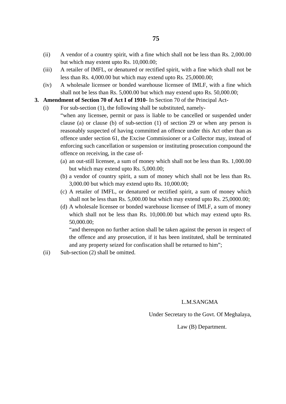- (ii) A vendor of a country spirit, with a fine which shall not be less than Rs. 2,000.00 but which may extent upto Rs. 10,000.00;
- (iii) A retailer of IMFL, or denatured or rectified spirit, with a fine which shall not be less than Rs. 4,000.00 but which may extend upto Rs. 25,0000.00;
- (iv) A wholesale licensee or bonded warehouse licensee of IMLF, with a fine which shall not be less than Rs. 5,000.00 but which may extend upto Rs. 50,000.00;

#### **3. Amendment of Section 70 of Act I of 1910**- In Section 70 of the Principal Act-

(i) For sub-section (1), the following shall be substituted, namely-

"when any licensee, permit or pass is liable to be cancelled or suspended under clause (a) or clause (b) of sub-section (1) of section 29 or when any person is reasonably suspected of having committed an offence under this Act other than as offence under section 61, the Excise Commissioner or a Collector may, instead of enforcing such cancellation or suspension or instituting prosecution compound the offence on receiving, in the case of-

- (a) an out-still licensee, a sum of money which shall not be less than Rs. 1,000.00 but which may extend upto Rs. 5,000.00;
- (b) a vendor of country spirit, a sum of money which shall not be less than Rs. 3,000.00 but which may extend upto Rs. 10,000.00;
- (c) A retailer of IMFL, or denatured or rectified spirit, a sum of money which shall not be less than Rs. 5,000.00 but which may extend upto Rs. 25,0000.00;
- (d) A wholesale licensee or bonded warehouse licensee of IMLF, a sum of money which shall not be less than Rs. 10,000.00 but which may extend upto Rs. 50,000.00;

"and thereupon no further action shall be taken against the person in respect of the offence and any prosecution, if it has been instituted, shall be terminated and any property seized for confiscation shall be returned to him";

(ii) Sub-section (2) shall be omitted.

#### L.M.SANGMA

Under Secretary to the Govt. Of Meghalaya,

#### Law (B) Department.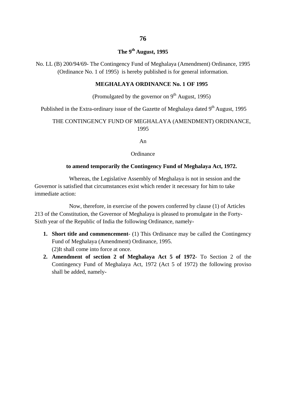# **The 9th August, 1995**

No. LL (B) 200/94/69- The Contingency Fund of Meghalaya (Amendment) Ordinance, 1995 (Ordinance No. 1 of 1995) is hereby published is for general information.

### **MEGHALAYA ORDINANCE No. 1 OF 1995**

## (Promulgated by the governor on  $9<sup>th</sup>$  August, 1995)

Published in the Extra-ordinary issue of the Gazette of Meghalaya dated  $9<sup>th</sup>$  August, 1995

### THE CONTINGENCY FUND OF MEGHALAYA (AMENDMENT) ORDINANCE, 1995

An

#### **Ordinance**

#### **to amend temporarily the Contingency Fund of Meghalaya Act, 1972.**

Whereas, the Legislative Assembly of Meghalaya is not in session and the Governor is satisfied that circumstances exist which render it necessary for him to take immediate action:

Now, therefore, in exercise of the powers conferred by clause (1) of Articles 213 of the Constitution, the Governor of Meghalaya is pleased to promulgate in the Forty-Sixth year of the Republic of India the following Ordinance, namely-

- **1. Short title and commencement** (1) This Ordinance may be called the Contingency Fund of Meghalaya (Amendment) Ordinance, 1995. (2)It shall come into force at once.
- **2. Amendment of section 2 of Meghalaya Act 5 of 1972** To Section 2 of the Contingency Fund of Meghalaya Act, 1972 (Act 5 of 1972) the following proviso shall be added, namely-